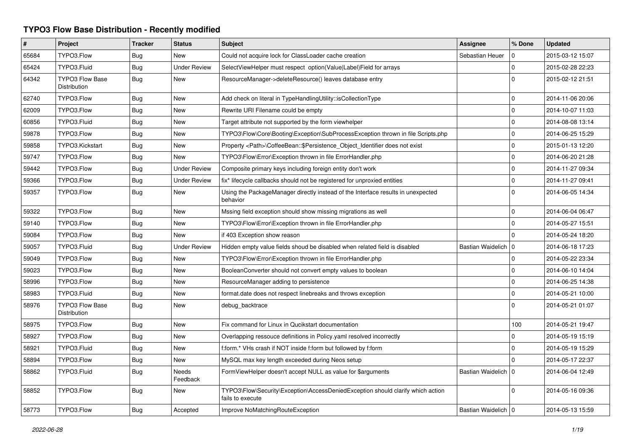## **TYPO3 Flow Base Distribution - Recently modified**

| #     | Project                                       | <b>Tracker</b> | <b>Status</b>            | <b>Subject</b>                                                                                      | <b>Assignee</b>       | % Done       | <b>Updated</b>   |
|-------|-----------------------------------------------|----------------|--------------------------|-----------------------------------------------------------------------------------------------------|-----------------------|--------------|------------------|
| 65684 | TYPO3.Flow                                    | Bug            | <b>New</b>               | Could not acquire lock for ClassLoader cache creation                                               | Sebastian Heuer       | $\Omega$     | 2015-03-12 15:07 |
| 65424 | TYPO3.Fluid                                   | Bug            | <b>Under Review</b>      | SelectViewHelper must respect option(Value Label)Field for arrays                                   |                       | $\mathbf 0$  | 2015-02-28 22:23 |
| 64342 | <b>TYPO3 Flow Base</b><br><b>Distribution</b> | Bug            | <b>New</b>               | ResourceManager->deleteResource() leaves database entry                                             |                       | $\Omega$     | 2015-02-12 21:51 |
| 62740 | TYPO3.Flow                                    | Bug            | <b>New</b>               | Add check on literal in TypeHandlingUtility::isCollectionType                                       |                       | $\mathbf 0$  | 2014-11-06 20:06 |
| 62009 | TYPO3.Flow                                    | Bug            | <b>New</b>               | Rewrite URI Filename could be empty                                                                 |                       | $\mathbf{0}$ | 2014-10-07 11:03 |
| 60856 | TYPO3.Fluid                                   | Bug            | <b>New</b>               | Target attribute not supported by the form viewhelper                                               |                       | $\mathbf 0$  | 2014-08-08 13:14 |
| 59878 | TYPO3.Flow                                    | <b>Bug</b>     | <b>New</b>               | TYPO3\Flow\Core\Booting\Exception\SubProcessException thrown in file Scripts.php                    |                       | $\mathbf 0$  | 2014-06-25 15:29 |
| 59858 | TYPO3.Kickstart                               | Bug            | <b>New</b>               | Property <path>\CoffeeBean::\$Persistence Object Identifier does not exist</path>                   |                       | $\mathbf{0}$ | 2015-01-13 12:20 |
| 59747 | TYPO3.Flow                                    | Bug            | <b>New</b>               | TYPO3\Flow\Error\Exception thrown in file ErrorHandler.php                                          |                       | $\mathbf 0$  | 2014-06-20 21:28 |
| 59442 | TYPO3.Flow                                    | Bug            | <b>Under Review</b>      | Composite primary keys including foreign entity don't work                                          |                       | $\mathbf 0$  | 2014-11-27 09:34 |
| 59366 | TYPO3.Flow                                    | <b>Bug</b>     | <b>Under Review</b>      | fix* lifecycle callbacks should not be registered for unproxied entities                            |                       | $\mathbf 0$  | 2014-11-27 09:41 |
| 59357 | TYPO3.Flow                                    | <b>Bug</b>     | New                      | Using the PackageManager directly instead of the Interface results in unexpected<br>behavior        |                       | $\Omega$     | 2014-06-05 14:34 |
| 59322 | TYPO3.Flow                                    | Bug            | New                      | Mssing field exception should show missing migrations as well                                       |                       | $\mathbf 0$  | 2014-06-04 06:47 |
| 59140 | TYPO3.Flow                                    | <b>Bug</b>     | <b>New</b>               | TYPO3\Flow\Error\Exception thrown in file ErrorHandler.php                                          |                       | $\mathbf{0}$ | 2014-05-27 15:51 |
| 59084 | TYPO3.Flow                                    | Bug            | <b>New</b>               | if 403 Exception show reason                                                                        |                       | $\Omega$     | 2014-05-24 18:20 |
| 59057 | TYPO3.Fluid                                   | <b>Bug</b>     | <b>Under Review</b>      | Hidden empty value fields shoud be disabled when related field is disabled                          | Bastian Waidelich   0 |              | 2014-06-18 17:23 |
| 59049 | TYPO3.Flow                                    | Bug            | <b>New</b>               | TYPO3\Flow\Error\Exception thrown in file ErrorHandler.php                                          |                       | $\mathbf 0$  | 2014-05-22 23:34 |
| 59023 | TYPO3.Flow                                    | <b>Bug</b>     | <b>New</b>               | BooleanConverter should not convert empty values to boolean                                         |                       | $\mathbf 0$  | 2014-06-10 14:04 |
| 58996 | TYPO3.Flow                                    | Bug            | <b>New</b>               | ResourceManager adding to persistence                                                               |                       | $\mathbf 0$  | 2014-06-25 14:38 |
| 58983 | TYPO3.Fluid                                   | Bug            | <b>New</b>               | format.date does not respect linebreaks and throws exception                                        |                       | $\mathbf 0$  | 2014-05-21 10:00 |
| 58976 | <b>TYPO3 Flow Base</b><br><b>Distribution</b> | <b>Bug</b>     | <b>New</b>               | debug_backtrace                                                                                     |                       | $\Omega$     | 2014-05-21 01:07 |
| 58975 | TYPO3.Flow                                    | Bug            | <b>New</b>               | Fix command for Linux in Qucikstart documentation                                                   |                       | 100          | 2014-05-21 19:47 |
| 58927 | TYPO3.Flow                                    | <b>Bug</b>     | <b>New</b>               | Overlapping ressouce definitions in Policy yaml resolved incorrectly                                |                       | $\mathbf 0$  | 2014-05-19 15:19 |
| 58921 | TYPO3.Fluid                                   | Bug            | <b>New</b>               | f:form.* VHs crash if NOT inside f:form but followed by f:form                                      |                       | $\mathbf 0$  | 2014-05-19 15:29 |
| 58894 | TYPO3.Flow                                    | Bug            | <b>New</b>               | MySQL max key length exceeded during Neos setup                                                     |                       | $\Omega$     | 2014-05-17 22:37 |
| 58862 | TYPO3.Fluid                                   | <b>Bug</b>     | <b>Needs</b><br>Feedback | FormViewHelper doesn't accept NULL as value for \$arguments                                         | Bastian Waidelich     | $\Omega$     | 2014-06-04 12:49 |
| 58852 | TYPO3.Flow                                    | Bug            | <b>New</b>               | TYPO3\Flow\Security\Exception\AccessDeniedException should clarify which action<br>fails to execute |                       | $\Omega$     | 2014-05-16 09:36 |
| 58773 | TYPO3.Flow                                    | Bug            | Accepted                 | Improve NoMatchingRouteException                                                                    | Bastian Waidelich   0 |              | 2014-05-13 15:59 |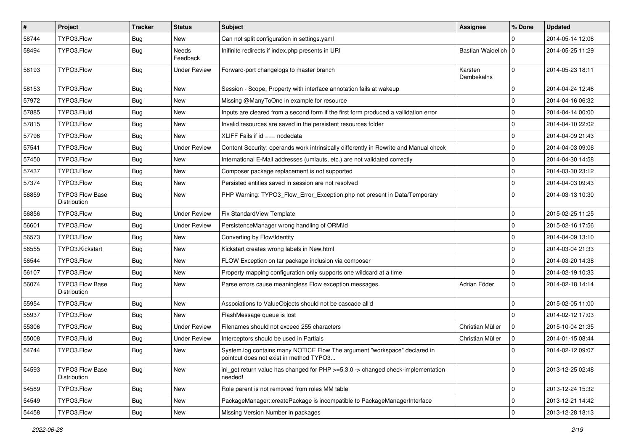| #     | Project                                       | <b>Tracker</b> | <b>Status</b>       | Subject                                                                                                              | <b>Assignee</b>       | % Done       | <b>Updated</b>   |
|-------|-----------------------------------------------|----------------|---------------------|----------------------------------------------------------------------------------------------------------------------|-----------------------|--------------|------------------|
| 58744 | TYPO3.Flow                                    | <b>Bug</b>     | New                 | Can not split configuration in settings.yaml                                                                         |                       | 0            | 2014-05-14 12:06 |
| 58494 | TYPO3.Flow                                    | <b>Bug</b>     | Needs<br>Feedback   | Inifinite redirects if index.php presents in URI                                                                     | Bastian Waidelich   0 |              | 2014-05-25 11:29 |
| 58193 | TYPO3.Flow                                    | <b>Bug</b>     | <b>Under Review</b> | Forward-port changelogs to master branch                                                                             | Karsten<br>Dambekalns | $\mathbf 0$  | 2014-05-23 18:11 |
| 58153 | TYPO3.Flow                                    | <b>Bug</b>     | <b>New</b>          | Session - Scope, Property with interface annotation fails at wakeup                                                  |                       | $\mathbf 0$  | 2014-04-24 12:46 |
| 57972 | TYPO3.Flow                                    | Bug            | New                 | Missing @ManyToOne in example for resource                                                                           |                       | $\pmb{0}$    | 2014-04-16 06:32 |
| 57885 | TYPO3.Fluid                                   | <b>Bug</b>     | New                 | Inputs are cleared from a second form if the first form produced a vallidation error                                 |                       | 0            | 2014-04-14 00:00 |
| 57815 | TYPO3.Flow                                    | <b>Bug</b>     | New                 | Invalid resources are saved in the persistent resources folder                                                       |                       | 0            | 2014-04-10 22:02 |
| 57796 | TYPO3.Flow                                    | Bug            | <b>New</b>          | XLIFF Fails if $id ==$ nodedata                                                                                      |                       | 0            | 2014-04-09 21:43 |
| 57541 | TYPO3.Flow                                    | <b>Bug</b>     | Under Review        | Content Security: operands work intrinsically differently in Rewrite and Manual check                                |                       | $\pmb{0}$    | 2014-04-03 09:06 |
| 57450 | TYPO3.Flow                                    | Bug            | New                 | International E-Mail addresses (umlauts, etc.) are not validated correctly                                           |                       | $\pmb{0}$    | 2014-04-30 14:58 |
| 57437 | TYPO3.Flow                                    | <b>Bug</b>     | New                 | Composer package replacement is not supported                                                                        |                       | 0            | 2014-03-30 23:12 |
| 57374 | TYPO3.Flow                                    | <b>Bug</b>     | New                 | Persisted entities saved in session are not resolved                                                                 |                       | 0            | 2014-04-03 09:43 |
| 56859 | <b>TYPO3 Flow Base</b><br><b>Distribution</b> | Bug            | <b>New</b>          | PHP Warning: TYPO3_Flow_Error_Exception.php not present in Data/Temporary                                            |                       | $\mathbf 0$  | 2014-03-13 10:30 |
| 56856 | TYPO3.Flow                                    | <b>Bug</b>     | <b>Under Review</b> | Fix StandardView Template                                                                                            |                       | $\pmb{0}$    | 2015-02-25 11:25 |
| 56601 | TYPO3.Flow                                    | <b>Bug</b>     | <b>Under Review</b> | PersistenceManager wrong handling of ORM\ld                                                                          |                       | $\mathbf 0$  | 2015-02-16 17:56 |
| 56573 | TYPO3.Flow                                    | <b>Bug</b>     | New                 | Converting by Flow\Identity                                                                                          |                       | 0            | 2014-04-09 13:10 |
| 56555 | TYPO3.Kickstart                               | <b>Bug</b>     | New                 | Kickstart creates wrong labels in New.html                                                                           |                       | $\pmb{0}$    | 2014-03-04 21:33 |
| 56544 | TYPO3.Flow                                    | <b>Bug</b>     | New                 | FLOW Exception on tar package inclusion via composer                                                                 |                       | 0            | 2014-03-20 14:38 |
| 56107 | TYPO3.Flow                                    | <b>Bug</b>     | New                 | Property mapping configuration only supports one wildcard at a time                                                  |                       | $\mathbf 0$  | 2014-02-19 10:33 |
| 56074 | <b>TYPO3 Flow Base</b><br>Distribution        | <b>Bug</b>     | New                 | Parse errors cause meaningless Flow exception messages.                                                              | Adrian Föder          | 0            | 2014-02-18 14:14 |
| 55954 | TYPO3.Flow                                    | Bug            | <b>New</b>          | Associations to ValueObjects should not be cascade all'd                                                             |                       | $\mathbf 0$  | 2015-02-05 11:00 |
| 55937 | TYPO3.Flow                                    | <b>Bug</b>     | <b>New</b>          | FlashMessage queue is lost                                                                                           |                       | $\mathbf{0}$ | 2014-02-12 17:03 |
| 55306 | TYPO3.Flow                                    | <b>Bug</b>     | <b>Under Review</b> | Filenames should not exceed 255 characters                                                                           | Christian Müller      | 0            | 2015-10-04 21:35 |
| 55008 | TYPO3.Fluid                                   | Bug            | <b>Under Review</b> | Interceptors should be used in Partials                                                                              | Christian Müller      | $\mathsf 0$  | 2014-01-15 08:44 |
| 54744 | TYPO3.Flow                                    | <b>Bug</b>     | New                 | System.log contains many NOTICE Flow The argument "workspace" declared in<br>pointcut does not exist in method TYPO3 |                       | $\mathbf{0}$ | 2014-02-12 09:07 |
| 54593 | <b>TYPO3 Flow Base</b><br>Distribution        | <b>Bug</b>     | New                 | ini_get return value has changed for PHP >=5.3.0 -> changed check-implementation<br>needed!                          |                       | 0            | 2013-12-25 02:48 |
| 54589 | TYPO3.Flow                                    | <b>Bug</b>     | New                 | Role parent is not removed from roles MM table                                                                       |                       | $\mathbf 0$  | 2013-12-24 15:32 |
| 54549 | TYPO3.Flow                                    | <b>Bug</b>     | New                 | PackageManager::createPackage is incompatible to PackageManagerInterface                                             |                       | 0            | 2013-12-21 14:42 |
| 54458 | TYPO3.Flow                                    | <b>Bug</b>     | New                 | Missing Version Number in packages                                                                                   |                       | 0            | 2013-12-28 18:13 |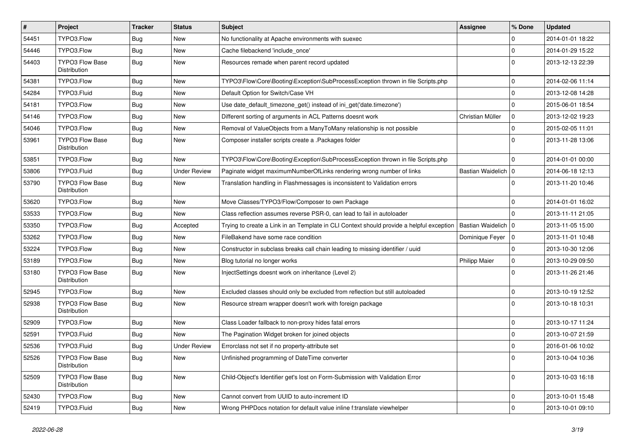| $\vert$ # | Project                                | Tracker    | <b>Status</b>       | Subject                                                                                  | <b>Assignee</b>       | % Done       | <b>Updated</b>   |
|-----------|----------------------------------------|------------|---------------------|------------------------------------------------------------------------------------------|-----------------------|--------------|------------------|
| 54451     | TYPO3.Flow                             | <b>Bug</b> | New                 | No functionality at Apache environments with suexec                                      |                       | $\Omega$     | 2014-01-01 18:22 |
| 54446     | TYPO3.Flow                             | <b>Bug</b> | <b>New</b>          | Cache filebackend 'include once'                                                         |                       | $\Omega$     | 2014-01-29 15:22 |
| 54403     | <b>TYPO3 Flow Base</b><br>Distribution | Bug        | New                 | Resources remade when parent record updated                                              |                       | $\Omega$     | 2013-12-13 22:39 |
| 54381     | TYPO3.Flow                             | <b>Bug</b> | <b>New</b>          | TYPO3\Flow\Core\Booting\Exception\SubProcessException thrown in file Scripts.php         |                       | $\Omega$     | 2014-02-06 11:14 |
| 54284     | TYPO3.Fluid                            | <b>Bug</b> | New                 | Default Option for Switch/Case VH                                                        |                       | $\Omega$     | 2013-12-08 14:28 |
| 54181     | TYPO3.Flow                             | <b>Bug</b> | New                 | Use date_default_timezone_get() instead of ini_get('date.timezone')                      |                       | $\Omega$     | 2015-06-01 18:54 |
| 54146     | TYPO3.Flow                             | <b>Bug</b> | New                 | Different sorting of arguments in ACL Patterns doesnt work                               | Christian Müller      | $\mathbf{0}$ | 2013-12-02 19:23 |
| 54046     | TYPO3.Flow                             | <b>Bug</b> | New                 | Removal of ValueObjects from a ManyToMany relationship is not possible                   |                       | $\Omega$     | 2015-02-05 11:01 |
| 53961     | <b>TYPO3 Flow Base</b><br>Distribution | <b>Bug</b> | <b>New</b>          | Composer installer scripts create a .Packages folder                                     |                       | $\Omega$     | 2013-11-28 13:06 |
| 53851     | TYPO3.Flow                             | Bug        | <b>New</b>          | TYPO3\Flow\Core\Booting\Exception\SubProcessException thrown in file Scripts.php         |                       | $\Omega$     | 2014-01-01 00:00 |
| 53806     | TYPO3.Fluid                            | <b>Bug</b> | <b>Under Review</b> | Paginate widget maximumNumberOfLinks rendering wrong number of links                     | Bastian Waidelich   0 |              | 2014-06-18 12:13 |
| 53790     | <b>TYPO3 Flow Base</b><br>Distribution | <b>Bug</b> | New                 | Translation handling in Flashmessages is inconsistent to Validation errors               |                       | 0            | 2013-11-20 10:46 |
| 53620     | TYPO3.Flow                             | <b>Bug</b> | New                 | Move Classes/TYPO3/Flow/Composer to own Package                                          |                       | $\mathbf 0$  | 2014-01-01 16:02 |
| 53533     | TYPO3.Flow                             | <b>Bug</b> | <b>New</b>          | Class reflection assumes reverse PSR-0, can lead to fail in autoloader                   |                       | $\Omega$     | 2013-11-11 21:05 |
| 53350     | TYPO3.Flow                             | Bug        | Accepted            | Trying to create a Link in an Template in CLI Context should provide a helpful exception | Bastian Waidelich     | 10           | 2013-11-05 15:00 |
| 53262     | TYPO3.Flow                             | <b>Bug</b> | New                 | FileBakend have some race condition                                                      | Dominique Feyer       | l o          | 2013-11-01 10:48 |
| 53224     | TYPO3.Flow                             | <b>Bug</b> | New                 | Constructor in subclass breaks call chain leading to missing identifier / uuid           |                       | $\Omega$     | 2013-10-30 12:06 |
| 53189     | TYPO3.Flow                             | <b>Bug</b> | New                 | Blog tutorial no longer works                                                            | <b>Philipp Maier</b>  | $\mathbf 0$  | 2013-10-29 09:50 |
| 53180     | <b>TYPO3 Flow Base</b><br>Distribution | <b>Bug</b> | New                 | InjectSettings doesnt work on inheritance (Level 2)                                      |                       | $\Omega$     | 2013-11-26 21:46 |
| 52945     | TYPO3.Flow                             | <b>Bug</b> | New                 | Excluded classes should only be excluded from reflection but still autoloaded            |                       | $\mathbf 0$  | 2013-10-19 12:52 |
| 52938     | <b>TYPO3 Flow Base</b><br>Distribution | <b>Bug</b> | New                 | Resource stream wrapper doesn't work with foreign package                                |                       | $\Omega$     | 2013-10-18 10:31 |
| 52909     | TYPO3.Flow                             | <b>Bug</b> | New                 | Class Loader fallback to non-proxy hides fatal errors                                    |                       | $\Omega$     | 2013-10-17 11:24 |
| 52591     | TYPO3.Fluid                            | <b>Bug</b> | <b>New</b>          | The Pagination Widget broken for joined objects                                          |                       | $\Omega$     | 2013-10-07 21:59 |
| 52536     | TYPO3.Fluid                            | <b>Bug</b> | <b>Under Review</b> | Errorclass not set if no property-attribute set                                          |                       | $\Omega$     | 2016-01-06 10:02 |
| 52526     | TYPO3 Flow Base<br>Distribution        | Bug        | New                 | Unfinished programming of DateTime converter                                             |                       | 0            | 2013-10-04 10:36 |
| 52509     | TYPO3 Flow Base<br>Distribution        | <b>Bug</b> | New                 | Child-Object's Identifier get's lost on Form-Submission with Validation Error            |                       | $\mathbf{0}$ | 2013-10-03 16:18 |
| 52430     | TYPO3.Flow                             | <b>Bug</b> | New                 | Cannot convert from UUID to auto-increment ID                                            |                       | $\mathbf{0}$ | 2013-10-01 15:48 |
| 52419     | TYPO3.Fluid                            | Bug        | New                 | Wrong PHPDocs notation for default value inline f:translate viewhelper                   |                       | $\mathbf{0}$ | 2013-10-01 09:10 |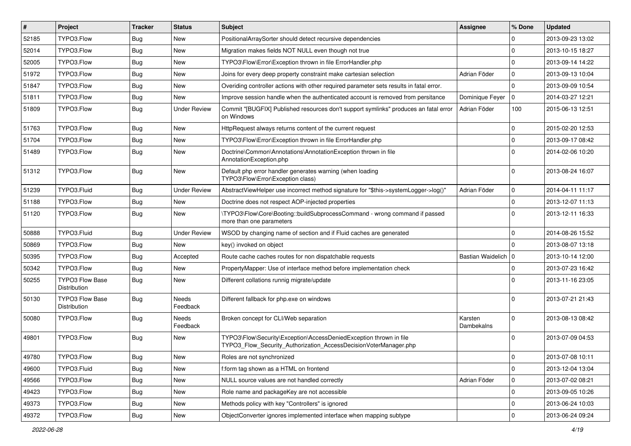| $\vert$ # | Project                                | <b>Tracker</b> | <b>Status</b>       | Subject                                                                                                                                | <b>Assignee</b>       | % Done       | <b>Updated</b>   |
|-----------|----------------------------------------|----------------|---------------------|----------------------------------------------------------------------------------------------------------------------------------------|-----------------------|--------------|------------------|
| 52185     | TYPO3.Flow                             | Bug            | New                 | PositionalArraySorter should detect recursive dependencies                                                                             |                       | 0            | 2013-09-23 13:02 |
| 52014     | TYPO3.Flow                             | Bug            | New                 | Migration makes fields NOT NULL even though not true                                                                                   |                       | $\mathbf 0$  | 2013-10-15 18:27 |
| 52005     | TYPO3.Flow                             | <b>Bug</b>     | New                 | TYPO3\Flow\Error\Exception thrown in file ErrorHandler.php                                                                             |                       | $\Omega$     | 2013-09-14 14:22 |
| 51972     | TYPO3.Flow                             | <b>Bug</b>     | New                 | Joins for every deep property constraint make cartesian selection                                                                      | Adrian Föder          | 0            | 2013-09-13 10:04 |
| 51847     | TYPO3.Flow                             | Bug            | New                 | Overiding controller actions with other required parameter sets results in fatal error.                                                |                       | $\mathbf 0$  | 2013-09-09 10:54 |
| 51811     | TYPO3.Flow                             | Bug            | New                 | Improve session handle when the authenticated account is removed from persitance                                                       | Dominique Feyer       | $\mathbf 0$  | 2014-03-27 12:21 |
| 51809     | TYPO3.Flow                             | Bug            | <b>Under Review</b> | Commit "[BUGFIX] Published resources don't support symlinks" produces an fatal error<br>on Windows                                     | Adrian Föder          | 100          | 2015-06-13 12:51 |
| 51763     | TYPO3.Flow                             | Bug            | New                 | HttpRequest always returns content of the current request                                                                              |                       | $\mathbf{0}$ | 2015-02-20 12:53 |
| 51704     | TYPO3.Flow                             | <b>Bug</b>     | New                 | TYPO3\Flow\Error\Exception thrown in file ErrorHandler.php                                                                             |                       | $\mathbf{0}$ | 2013-09-17 08:42 |
| 51489     | TYPO3.Flow                             | Bug            | New                 | Doctrine\Common\Annotations\AnnotationException thrown in file<br>AnnotationException.php                                              |                       | $\Omega$     | 2014-02-06 10:20 |
| 51312     | TYPO3.Flow                             | Bug            | <b>New</b>          | Default php error handler generates warning (when loading<br>TYPO3\Flow\Error\Exception class)                                         |                       | $\Omega$     | 2013-08-24 16:07 |
| 51239     | TYPO3.Fluid                            | <b>Bug</b>     | <b>Under Review</b> | AbstractViewHelper use incorrect method signature for "\$this->systemLogger->log()"                                                    | Adrian Föder          | 0            | 2014-04-11 11:17 |
| 51188     | TYPO3.Flow                             | Bug            | New                 | Doctrine does not respect AOP-injected properties                                                                                      |                       | $\mathbf 0$  | 2013-12-07 11:13 |
| 51120     | TYPO3.Flow                             | <b>Bug</b>     | New                 | \TYPO3\Flow\Core\Booting::buildSubprocessCommand - wrong command if passed<br>more than one parameters                                 |                       | $\Omega$     | 2013-12-11 16:33 |
| 50888     | TYPO3.Fluid                            | Bug            | <b>Under Review</b> | WSOD by changing name of section and if Fluid caches are generated                                                                     |                       | $\mathbf{0}$ | 2014-08-26 15:52 |
| 50869     | TYPO3.Flow                             | <b>Bug</b>     | New                 | key() invoked on object                                                                                                                |                       | $\Omega$     | 2013-08-07 13:18 |
| 50395     | TYPO3.Flow                             | Bug            | Accepted            | Route cache caches routes for non dispatchable requests                                                                                | Bastian Waidelich   0 |              | 2013-10-14 12:00 |
| 50342     | TYPO3.Flow                             | Bug            | New                 | PropertyMapper: Use of interface method before implementation check                                                                    |                       | $\mathbf{0}$ | 2013-07-23 16:42 |
| 50255     | <b>TYPO3 Flow Base</b><br>Distribution | <b>Bug</b>     | New                 | Different collations runnig migrate/update                                                                                             |                       | $\Omega$     | 2013-11-16 23:05 |
| 50130     | <b>TYPO3 Flow Base</b><br>Distribution | <b>Bug</b>     | Needs<br>Feedback   | Different fallback for php.exe on windows                                                                                              |                       | $\Omega$     | 2013-07-21 21:43 |
| 50080     | TYPO3.Flow                             | <b>Bug</b>     | Needs<br>Feedback   | Broken concept for CLI/Web separation                                                                                                  | Karsten<br>Dambekalns | $\Omega$     | 2013-08-13 08:42 |
| 49801     | TYPO3.Flow                             | <b>Bug</b>     | <b>New</b>          | TYPO3\Flow\Security\Exception\AccessDeniedException thrown in file<br>TYPO3_Flow_Security_Authorization_AccessDecisionVoterManager.php |                       | $\Omega$     | 2013-07-09 04:53 |
| 49780     | TYPO3.Flow                             | Bug            | New                 | Roles are not synchronized                                                                                                             |                       | 0            | 2013-07-08 10:11 |
| 49600     | TYPO3.Fluid                            | <b>Bug</b>     | <b>New</b>          | f:form tag shown as a HTML on frontend                                                                                                 |                       | $\mathbf 0$  | 2013-12-04 13:04 |
| 49566     | TYPO3.Flow                             | <b>Bug</b>     | New                 | NULL source values are not handled correctly                                                                                           | Adrian Föder          | $\mathbf 0$  | 2013-07-02 08:21 |
| 49423     | TYPO3.Flow                             | <b>Bug</b>     | New                 | Role name and packageKey are not accessible                                                                                            |                       | $\mathsf 0$  | 2013-09-05 10:26 |
| 49373     | TYPO3.Flow                             | <b>Bug</b>     | New                 | Methods policy with key "Controllers" is ignored                                                                                       |                       | 0            | 2013-06-24 10:03 |
| 49372     | TYPO3.Flow                             | Bug            | New                 | ObjectConverter ignores implemented interface when mapping subtype                                                                     |                       | $\pmb{0}$    | 2013-06-24 09:24 |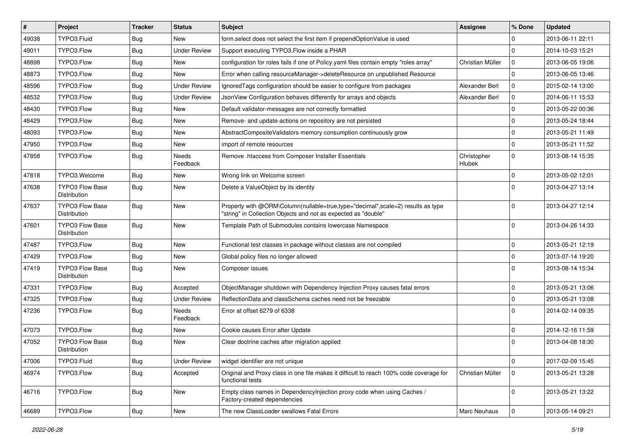| #     | Project                                | <b>Tracker</b> | <b>Status</b>            | <b>Subject</b>                                                                                                                                    | <b>Assignee</b>       | % Done       | <b>Updated</b>   |
|-------|----------------------------------------|----------------|--------------------------|---------------------------------------------------------------------------------------------------------------------------------------------------|-----------------------|--------------|------------------|
| 49038 | TYPO3.Fluid                            | Bug            | New                      | form select does not select the first item if prependOptionValue is used                                                                          |                       | 0            | 2013-06-11 22:11 |
| 49011 | TYPO3.Flow                             | Bug            | <b>Under Review</b>      | Support executing TYPO3. Flow inside a PHAR                                                                                                       |                       | $\mathbf 0$  | 2014-10-03 15:21 |
| 48898 | TYPO3.Flow                             | Bug            | New                      | configuration for roles fails if one of Policy yaml files contain empty "roles array"                                                             | Christian Müller      | $\mathbf 0$  | 2013-06-05 19:06 |
| 48873 | TYPO3.Flow                             | <b>Bug</b>     | New                      | Error when calling resourceManager->deleteResource on unpublished Resource                                                                        |                       | $\mathbf 0$  | 2013-06-05 13:46 |
| 48596 | TYPO3.Flow                             | Bug            | <b>Under Review</b>      | Ignored Tags configuration should be easier to configure from packages                                                                            | Alexander Berl        | 0            | 2015-02-14 13:00 |
| 48532 | TYPO3.Flow                             | Bug            | <b>Under Review</b>      | JsonView Configuration behaves differently for arrays and objects                                                                                 | Alexander Berl        | 0            | 2014-06-11 15:53 |
| 48430 | TYPO3.Flow                             | Bug            | <b>New</b>               | Default validator-messages are not correctly formatted                                                                                            |                       | $\mathbf 0$  | 2013-05-22 00:36 |
| 48429 | TYPO3.Flow                             | <b>Bug</b>     | New                      | Remove- and update-actions on repository are not persisted                                                                                        |                       | 0            | 2013-05-24 18:44 |
| 48093 | TYPO3.Flow                             | <b>Bug</b>     | New                      | AbstractCompositeValidators memory consumption continuously grow                                                                                  |                       | $\mathbf 0$  | 2013-05-21 11:49 |
| 47950 | TYPO3.Flow                             | <b>Bug</b>     | <b>New</b>               | import of remote resources                                                                                                                        |                       | $\mathbf 0$  | 2013-05-21 11:52 |
| 47858 | TYPO3.Flow                             | Bug            | Needs<br>Feedback        | Remove .htaccess from Composer Installer Essentials                                                                                               | Christopher<br>Hlubek | $\mathbf 0$  | 2013-08-14 15:35 |
| 47818 | TYPO3.Welcome                          | <b>Bug</b>     | <b>New</b>               | Wrong link on Welcome screen                                                                                                                      |                       | $\mathbf{0}$ | 2013-05-02 12:01 |
| 47638 | <b>TYPO3 Flow Base</b><br>Distribution | <b>Bug</b>     | New                      | Delete a ValueObject by its identity                                                                                                              |                       | $\Omega$     | 2013-04-27 13:14 |
| 47637 | TYPO3 Flow Base<br><b>Distribution</b> | <b>Bug</b>     | <b>New</b>               | Property with @ORM\Column(nullable=true,type="decimal",scale=2) results as type<br>"string" in Collection Objects and not as expected as "double" |                       | $\mathbf 0$  | 2013-04-27 12:14 |
| 47601 | TYPO3 Flow Base<br>Distribution        | Bug            | <b>New</b>               | Template Path of Submodules contains lowercase Namespace                                                                                          |                       | $\mathbf 0$  | 2013-04-26 14:33 |
| 47487 | TYPO3.Flow                             | <b>Bug</b>     | <b>New</b>               | Functional test classes in package without classes are not compiled                                                                               |                       | $\mathbf 0$  | 2013-05-21 12:19 |
| 47429 | TYPO3.Flow                             | <b>Bug</b>     | <b>New</b>               | Global policy files no longer allowed                                                                                                             |                       | $\mathbf{0}$ | 2013-07-14 19:20 |
| 47419 | <b>TYPO3 Flow Base</b><br>Distribution | <b>Bug</b>     | New                      | Composer issues                                                                                                                                   |                       | $\Omega$     | 2013-08-14 15:34 |
| 47331 | TYPO3.Flow                             | <b>Bug</b>     | Accepted                 | ObjectManager shutdown with Dependency Injection Proxy causes fatal errors                                                                        |                       | $\mathbf{0}$ | 2013-05-21 13:06 |
| 47325 | TYPO3.Flow                             | <b>Bug</b>     | <b>Under Review</b>      | ReflectionData and classSchema caches need not be freezable                                                                                       |                       | $\mathbf 0$  | 2013-05-21 13:08 |
| 47236 | TYPO3.Flow                             | <b>Bug</b>     | <b>Needs</b><br>Feedback | Error at offset 6279 of 6338                                                                                                                      |                       | $\Omega$     | 2014-02-14 09:35 |
| 47073 | TYPO3.Flow                             | <b>Bug</b>     | New                      | Cookie causes Error after Update                                                                                                                  |                       | $\mathbf 0$  | 2014-12-16 11:59 |
| 47052 | <b>TYPO3 Flow Base</b><br>Distribution | Bug            | <b>New</b>               | Clear doctrine caches after migration applied                                                                                                     |                       | $\Omega$     | 2013-04-08 18:30 |
| 47006 | TYPO3.Fluid                            | <b>Bug</b>     | <b>Under Review</b>      | widget identifier are not unique                                                                                                                  |                       | $\pmb{0}$    | 2017-02-09 15:45 |
| 46974 | TYPO3.Flow                             | <b>Bug</b>     | Accepted                 | Original and Proxy class in one file makes it difficult to reach 100% code coverage for<br>functional tests                                       | Christian Müller      | $\mathbf 0$  | 2013-05-21 13:28 |
| 46716 | TYPO3.Flow                             | <b>Bug</b>     | <b>New</b>               | Empty class names in Dependencylniection proxy code when using Caches /<br>Factory-created dependencies                                           |                       | $\mathbf{0}$ | 2013-05-21 13:22 |
| 46689 | TYPO3.Flow                             | Bug            | New                      | The new ClassLoader swallows Fatal Errors                                                                                                         | Marc Neuhaus          | 0            | 2013-05-14 09:21 |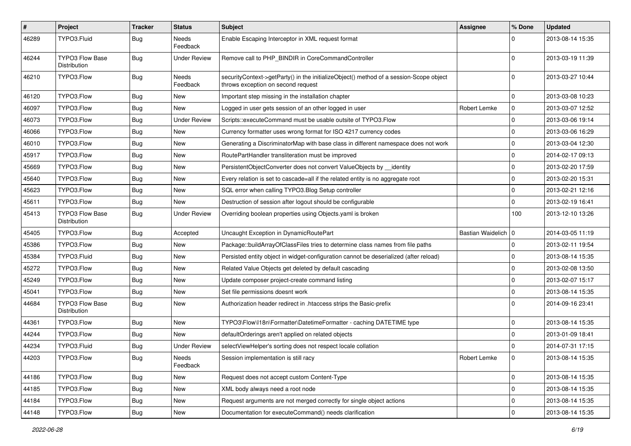| #     | Project                                | <b>Tracker</b> | <b>Status</b>            | <b>Subject</b>                                                                                                               | <b>Assignee</b>       | % Done         | <b>Updated</b>   |
|-------|----------------------------------------|----------------|--------------------------|------------------------------------------------------------------------------------------------------------------------------|-----------------------|----------------|------------------|
| 46289 | TYPO3.Fluid                            | <b>Bug</b>     | Needs<br>Feedback        | Enable Escaping Interceptor in XML request format                                                                            |                       | $\Omega$       | 2013-08-14 15:35 |
| 46244 | TYPO3 Flow Base<br>Distribution        | Bug            | <b>Under Review</b>      | Remove call to PHP_BINDIR in CoreCommandController                                                                           |                       | $\Omega$       | 2013-03-19 11:39 |
| 46210 | TYPO3.Flow                             | Bug            | <b>Needs</b><br>Feedback | securityContext->getParty() in the initializeObject() method of a session-Scope object<br>throws exception on second request |                       | $\Omega$       | 2013-03-27 10:44 |
| 46120 | TYPO3.Flow                             | Bug            | <b>New</b>               | Important step missing in the installation chapter                                                                           |                       | $\mathbf 0$    | 2013-03-08 10:23 |
| 46097 | TYPO3.Flow                             | Bug            | New                      | Logged in user gets session of an other logged in user                                                                       | Robert Lemke          | $\mathbf 0$    | 2013-03-07 12:52 |
| 46073 | TYPO3.Flow                             | Bug            | <b>Under Review</b>      | Scripts::executeCommand must be usable outsite of TYPO3.Flow                                                                 |                       | $\mathbf 0$    | 2013-03-06 19:14 |
| 46066 | TYPO3.Flow                             | <b>Bug</b>     | <b>New</b>               | Currency formatter uses wrong format for ISO 4217 currency codes                                                             |                       | $\mathbf 0$    | 2013-03-06 16:29 |
| 46010 | TYPO3.Flow                             | Bug            | New                      | Generating a DiscriminatorMap with base class in different namespace does not work                                           |                       | $\mathbf 0$    | 2013-03-04 12:30 |
| 45917 | TYPO3.Flow                             | Bug            | <b>New</b>               | RoutePartHandler transliteration must be improved                                                                            |                       | $\mathbf 0$    | 2014-02-17 09:13 |
| 45669 | TYPO3.Flow                             | <b>Bug</b>     | <b>New</b>               | PersistentObjectConverter does not convert ValueObjects by __identity                                                        |                       | $\mathbf 0$    | 2013-02-20 17:59 |
| 45640 | TYPO3.Flow                             | Bug            | <b>New</b>               | Every relation is set to cascade=all if the related entity is no aggregate root                                              |                       | $\mathbf 0$    | 2013-02-20 15:31 |
| 45623 | TYPO3.Flow                             | <b>Bug</b>     | <b>New</b>               | SQL error when calling TYPO3.Blog Setup controller                                                                           |                       | $\mathbf 0$    | 2013-02-21 12:16 |
| 45611 | TYPO3.Flow                             | Bug            | <b>New</b>               | Destruction of session after logout should be configurable                                                                   |                       | $\mathbf 0$    | 2013-02-19 16:41 |
| 45413 | <b>TYPO3 Flow Base</b><br>Distribution | Bug            | <b>Under Review</b>      | Overriding boolean properties using Objects yaml is broken                                                                   |                       | 100            | 2013-12-10 13:26 |
| 45405 | TYPO3.Flow                             | Bug            | Accepted                 | Uncaught Exception in DynamicRoutePart                                                                                       | Bastian Waidelich   0 |                | 2014-03-05 11:19 |
| 45386 | TYPO3.Flow                             | Bug            | New                      | Package::buildArrayOfClassFiles tries to determine class names from file paths                                               |                       | $\mathbf 0$    | 2013-02-11 19:54 |
| 45384 | TYPO3.Fluid                            | Bug            | New                      | Persisted entity object in widget-configuration cannot be deserialized (after reload)                                        |                       | $\mathbf 0$    | 2013-08-14 15:35 |
| 45272 | TYPO3.Flow                             | Bug            | <b>New</b>               | Related Value Objects get deleted by default cascading                                                                       |                       | $\mathbf 0$    | 2013-02-08 13:50 |
| 45249 | TYPO3.Flow                             | <b>Bug</b>     | <b>New</b>               | Update composer project-create command listing                                                                               |                       | $\mathbf 0$    | 2013-02-07 15:17 |
| 45041 | TYPO3.Flow                             | Bug            | New                      | Set file permissions doesnt work                                                                                             |                       | $\mathbf 0$    | 2013-08-14 15:35 |
| 44684 | <b>TYPO3 Flow Base</b><br>Distribution | Bug            | New                      | Authorization header redirect in .htaccess strips the Basic-prefix                                                           |                       | $\Omega$       | 2014-09-16 23:41 |
| 44361 | TYPO3.Flow                             | <b>Bug</b>     | <b>New</b>               | TYPO3\Flow\I18n\Formatter\DatetimeFormatter - caching DATETIME type                                                          |                       | $\mathbf 0$    | 2013-08-14 15:35 |
| 44244 | TYPO3.Flow                             | Bug            | New                      | defaultOrderings aren't applied on related objects                                                                           |                       | $\Omega$       | 2013-01-09 18:41 |
| 44234 | TYPO3.Fluid                            | Bug            | <b>Under Review</b>      | selectViewHelper's sorting does not respect locale collation                                                                 |                       | $\mathbf 0$    | 2014-07-31 17:15 |
| 44203 | TYPO3.Flow                             | <b>Bug</b>     | Needs<br>Feedback        | Session implementation is still racy                                                                                         | Robert Lemke          | $\overline{0}$ | 2013-08-14 15:35 |
| 44186 | TYPO3.Flow                             | Bug            | New                      | Request does not accept custom Content-Type                                                                                  |                       | $\overline{0}$ | 2013-08-14 15:35 |
| 44185 | TYPO3.Flow                             | <b>Bug</b>     | New                      | XML body always need a root node                                                                                             |                       | $\mathbf 0$    | 2013-08-14 15:35 |
| 44184 | TYPO3.Flow                             | <b>Bug</b>     | New                      | Request arguments are not merged correctly for single object actions                                                         |                       | $\mathbf 0$    | 2013-08-14 15:35 |
| 44148 | TYPO3.Flow                             | Bug            | New                      | Documentation for executeCommand() needs clarification                                                                       |                       | $\pmb{0}$      | 2013-08-14 15:35 |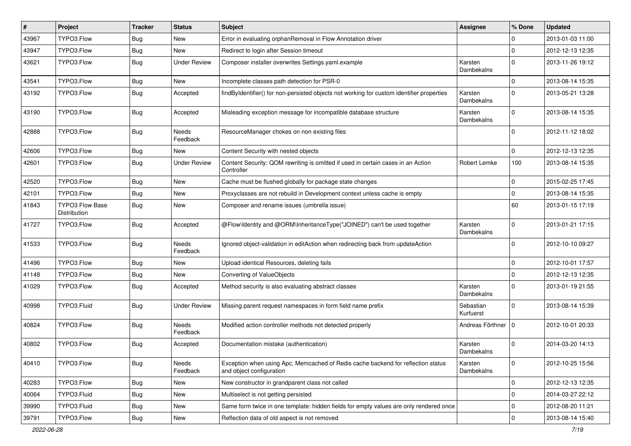| $\#$  | Project                                | <b>Tracker</b> | <b>Status</b>            | <b>Subject</b>                                                                                               | <b>Assignee</b>        | % Done         | <b>Updated</b>   |
|-------|----------------------------------------|----------------|--------------------------|--------------------------------------------------------------------------------------------------------------|------------------------|----------------|------------------|
| 43967 | TYPO3.Flow                             | Bug            | New                      | Error in evaluating orphanRemoval in Flow Annotation driver                                                  |                        | $\mathbf 0$    | 2013-01-03 11:00 |
| 43947 | TYPO3.Flow                             | <b>Bug</b>     | <b>New</b>               | Redirect to login after Session timeout                                                                      |                        | $\mathbf 0$    | 2012-12-13 12:35 |
| 43621 | TYPO3.Flow                             | Bug            | <b>Under Review</b>      | Composer installer overwrites Settings.yaml.example                                                          | Karsten<br>Dambekalns  | $\Omega$       | 2013-11-26 19:12 |
| 43541 | TYPO3.Flow                             | <b>Bug</b>     | <b>New</b>               | Incomplete classes path detection for PSR-0                                                                  |                        | $\mathbf 0$    | 2013-08-14 15:35 |
| 43192 | TYPO3.Flow                             | <b>Bug</b>     | Accepted                 | findByIdentifier() for non-persisted objects not working for custom identifier properties                    | Karsten<br>Dambekalns  | $\Omega$       | 2013-05-21 13:28 |
| 43190 | TYPO3.Flow                             | <b>Bug</b>     | Accepted                 | Misleading exception message for incompatible database structure                                             | Karsten<br>Dambekalns  | $\Omega$       | 2013-08-14 15:35 |
| 42888 | TYPO3.Flow                             | Bug            | <b>Needs</b><br>Feedback | ResourceManager chokes on non existing files                                                                 |                        | $\Omega$       | 2012-11-12 18:02 |
| 42606 | TYPO3.Flow                             | <b>Bug</b>     | New                      | Content Security with nested objects                                                                         |                        | $\Omega$       | 2012-12-13 12:35 |
| 42601 | TYPO3.Flow                             | Bug            | <b>Under Review</b>      | Content Security: QOM rewriting is omitted if used in certain cases in an Action<br>Controller               | Robert Lemke           | 100            | 2013-08-14 15:35 |
| 42520 | TYPO3.Flow                             | <b>Bug</b>     | <b>New</b>               | Cache must be flushed globally for package state changes                                                     |                        | $\mathbf 0$    | 2015-02-25 17:45 |
| 42101 | TYPO3.Flow                             | <b>Bug</b>     | <b>New</b>               | Proxyclasses are not rebuild in Development context unless cache is empty                                    |                        | $\mathbf 0$    | 2013-08-14 15:35 |
| 41843 | <b>TYPO3 Flow Base</b><br>Distribution | Bug            | New                      | Composer and rename issues (umbrella issue)                                                                  |                        | 60             | 2013-01-15 17:19 |
| 41727 | TYPO3.Flow                             | <b>Bug</b>     | Accepted                 | @Flow\Identity and @ORM\InheritanceType("JOINED") can't be used together                                     | Karsten<br>Dambekalns  | $\Omega$       | 2013-01-21 17:15 |
| 41533 | TYPO3.Flow                             | <b>Bug</b>     | <b>Needs</b><br>Feedback | Ignored object-validation in editAction when redirecting back from updateAction                              |                        | $\Omega$       | 2012-10-10 09:27 |
| 41496 | TYPO3.Flow                             | <b>Bug</b>     | New                      | Upload identical Resources, deleting fails                                                                   |                        | $\mathbf 0$    | 2012-10-01 17:57 |
| 41148 | TYPO3.Flow                             | <b>Bug</b>     | <b>New</b>               | Converting of ValueObjects                                                                                   |                        | $\overline{0}$ | 2012-12-13 12:35 |
| 41029 | TYPO3.Flow                             | Bug            | Accepted                 | Method security is also evaluating abstract classes                                                          | Karsten<br>Dambekalns  | $\Omega$       | 2013-01-19 21:55 |
| 40998 | TYPO3.Fluid                            | <b>Bug</b>     | <b>Under Review</b>      | Missing parent request namespaces in form field name prefix                                                  | Sebastian<br>Kurfuerst | $\Omega$       | 2013-08-14 15:39 |
| 40824 | TYPO3.Flow                             | <b>Bug</b>     | <b>Needs</b><br>Feedback | Modified action controller methods not detected properly                                                     | Andreas Förthner       | l 0            | 2012-10-01 20:33 |
| 40802 | TYPO3.Flow                             | <b>Bug</b>     | Accepted                 | Documentation mistake (authentication)                                                                       | Karsten<br>Dambekalns  | $\Omega$       | 2014-03-20 14:13 |
| 40410 | TYPO3.Flow                             | <b>Bug</b>     | Needs<br>Feedback        | Exception when using Apc, Memcached of Redis cache backend for reflection status<br>and object configuration | Karsten<br>Dambekalns  | $\mathbf 0$    | 2012-10-25 15:56 |
| 40283 | TYPO3.Flow                             | <b>Bug</b>     | New                      | New constructor in grandparent class not called                                                              |                        | $\mathbf 0$    | 2012-12-13 12:35 |
| 40064 | TYPO3.Fluid                            | <b>Bug</b>     | New                      | Multiselect is not getting persisted                                                                         |                        | $\mathbf 0$    | 2014-03-27 22:12 |
| 39990 | TYPO3.Fluid                            | <b>Bug</b>     | New                      | Same form twice in one template: hidden fields for empty values are only rendered once                       |                        | $\mathbf 0$    | 2012-08-20 11:21 |
| 39791 | TYPO3.Flow                             | <b>Bug</b>     | New                      | Reflection data of old aspect is not removed                                                                 |                        | $\mathbf 0$    | 2013-08-14 15:40 |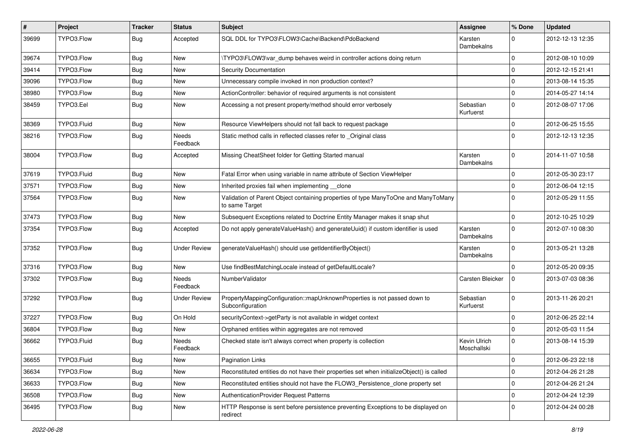| $\vert$ # | Project     | <b>Tracker</b> | <b>Status</b>            | Subject                                                                                              | <b>Assignee</b>             | % Done      | <b>Updated</b>   |
|-----------|-------------|----------------|--------------------------|------------------------------------------------------------------------------------------------------|-----------------------------|-------------|------------------|
| 39699     | TYPO3.Flow  | <b>Bug</b>     | Accepted                 | SQL DDL for TYPO3\FLOW3\Cache\Backend\PdoBackend                                                     | Karsten<br>Dambekalns       | $\Omega$    | 2012-12-13 12:35 |
| 39674     | TYPO3.Flow  | Bug            | New                      | \TYPO3\FLOW3\var dump behaves weird in controller actions doing return                               |                             | $\Omega$    | 2012-08-10 10:09 |
| 39414     | TYPO3.Flow  | Bug            | New                      | <b>Security Documentation</b>                                                                        |                             | $\Omega$    | 2012-12-15 21:41 |
| 39096     | TYPO3.Flow  | <b>Bug</b>     | <b>New</b>               | Unnecessary compile invoked in non production context?                                               |                             | $\Omega$    | 2013-08-14 15:35 |
| 38980     | TYPO3.Flow  | <b>Bug</b>     | New                      | ActionController: behavior of required arguments is not consistent                                   |                             | $\mathbf 0$ | 2014-05-27 14:14 |
| 38459     | TYPO3.Eel   | <b>Bug</b>     | New                      | Accessing a not present property/method should error verbosely                                       | Sebastian<br>Kurfuerst      | $\Omega$    | 2012-08-07 17:06 |
| 38369     | TYPO3.Fluid | Bug            | New                      | Resource ViewHelpers should not fall back to request package                                         |                             | $\Omega$    | 2012-06-25 15:55 |
| 38216     | TYPO3.Flow  | <b>Bug</b>     | <b>Needs</b><br>Feedback | Static method calls in reflected classes refer to _Original class                                    |                             | $\Omega$    | 2012-12-13 12:35 |
| 38004     | TYPO3.Flow  | Bug            | Accepted                 | Missing CheatSheet folder for Getting Started manual                                                 | Karsten<br>Dambekalns       | $\Omega$    | 2014-11-07 10:58 |
| 37619     | TYPO3.Fluid | <b>Bug</b>     | <b>New</b>               | Fatal Error when using variable in name attribute of Section ViewHelper                              |                             | $\Omega$    | 2012-05-30 23:17 |
| 37571     | TYPO3.Flow  | Bug            | New                      | Inherited proxies fail when implementing __clone                                                     |                             | $\Omega$    | 2012-06-04 12:15 |
| 37564     | TYPO3.Flow  | Bug            | New                      | Validation of Parent Object containing properties of type ManyToOne and ManyToMany<br>to same Target |                             | $\Omega$    | 2012-05-29 11:55 |
| 37473     | TYPO3.Flow  | <b>Bug</b>     | <b>New</b>               | Subsequent Exceptions related to Doctrine Entity Manager makes it snap shut                          |                             | $\Omega$    | 2012-10-25 10:29 |
| 37354     | TYPO3.Flow  | Bug            | Accepted                 | Do not apply generateValueHash() and generateUuid() if custom identifier is used                     | Karsten<br>Dambekalns       | $\Omega$    | 2012-07-10 08:30 |
| 37352     | TYPO3.Flow  | <b>Bug</b>     | <b>Under Review</b>      | generateValueHash() should use getIdentifierByObject()                                               | Karsten<br>Dambekalns       | $\Omega$    | 2013-05-21 13:28 |
| 37316     | TYPO3.Flow  | <b>Bug</b>     | <b>New</b>               | Use findBestMatchingLocale instead of getDefaultLocale?                                              |                             | $\Omega$    | 2012-05-20 09:35 |
| 37302     | TYPO3.Flow  | Bug            | <b>Needs</b><br>Feedback | NumberValidator                                                                                      | Carsten Bleicker            | $\Omega$    | 2013-07-03 08:36 |
| 37292     | TYPO3.Flow  | Bug            | <b>Under Review</b>      | PropertyMappingConfiguration::mapUnknownProperties is not passed down to<br>Subconfiguration         | Sebastian<br>Kurfuerst      | $\Omega$    | 2013-11-26 20:21 |
| 37227     | TYPO3.Flow  | Bug            | On Hold                  | securityContext->getParty is not available in widget context                                         |                             | $\Omega$    | 2012-06-25 22:14 |
| 36804     | TYPO3.Flow  | <b>Bug</b>     | <b>New</b>               | Orphaned entities within aggregates are not removed                                                  |                             | $\Omega$    | 2012-05-03 11:54 |
| 36662     | TYPO3.Fluid | Bug            | Needs<br>Feedback        | Checked state isn't always correct when property is collection                                       | Kevin Ulrich<br>Moschallski | $\Omega$    | 2013-08-14 15:39 |
| 36655     | TYPO3.Fluid | <b>Bug</b>     | <b>New</b>               | <b>Pagination Links</b>                                                                              |                             | 0           | 2012-06-23 22:18 |
| 36634     | TYPO3.Flow  | <b>Bug</b>     | New                      | Reconstituted entities do not have their properties set when initializeObject() is called            |                             | $\mathbf 0$ | 2012-04-26 21:28 |
| 36633     | TYPO3.Flow  | <b>Bug</b>     | New                      | Reconstituted entities should not have the FLOW3_Persistence_clone property set                      |                             | $\mathbf 0$ | 2012-04-26 21:24 |
| 36508     | TYPO3.Flow  | Bug            | New                      | AuthenticationProvider Request Patterns                                                              |                             | 0           | 2012-04-24 12:39 |
| 36495     | TYPO3.Flow  | <b>Bug</b>     | New                      | HTTP Response is sent before persistence preventing Exceptions to be displayed on<br>redirect        |                             | $\Omega$    | 2012-04-24 00:28 |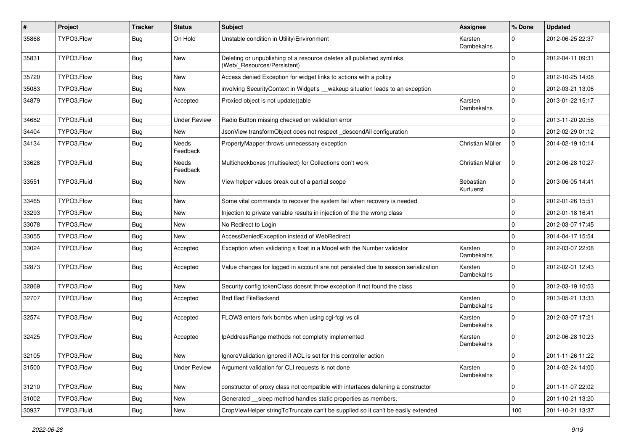| #     | Project     | <b>Tracker</b> | <b>Status</b>            | <b>Subject</b>                                                                                       | <b>Assignee</b>        | % Done      | <b>Updated</b>   |
|-------|-------------|----------------|--------------------------|------------------------------------------------------------------------------------------------------|------------------------|-------------|------------------|
| 35868 | TYPO3.Flow  | Bug            | On Hold                  | Unstable condition in Utility\Environment                                                            | Karsten<br>Dambekalns  | $\Omega$    | 2012-06-25 22:37 |
| 35831 | TYPO3.Flow  | Bug            | <b>New</b>               | Deleting or unpublishing of a resource deletes all published symlinks<br>(Web/_Resources/Persistent) |                        | $\Omega$    | 2012-04-11 09:31 |
| 35720 | TYPO3.Flow  | Bug            | <b>New</b>               | Access denied Exception for widget links to actions with a policy                                    |                        | $\mathbf 0$ | 2012-10-25 14:08 |
| 35083 | TYPO3.Flow  | Bug            | <b>New</b>               | involving SecurityContext in Widget's __wakeup situation leads to an exception                       |                        | $\mathbf 0$ | 2012-03-21 13:06 |
| 34879 | TYPO3.Flow  | Bug            | Accepted                 | Proxied object is not update()able                                                                   | Karsten<br>Dambekalns  | $\Omega$    | 2013-01-22 15:17 |
| 34682 | TYPO3.Fluid | Bug            | <b>Under Review</b>      | Radio Button missing checked on validation error                                                     |                        | $\mathbf 0$ | 2013-11-20 20:58 |
| 34404 | TYPO3.Flow  | <b>Bug</b>     | <b>New</b>               | JsonView transformObject does not respect _descendAll configuration                                  |                        | $\Omega$    | 2012-02-29 01:12 |
| 34134 | TYPO3.Flow  | Bug            | <b>Needs</b><br>Feedback | PropertyMapper throws unnecessary exception                                                          | Christian Müller       | $\mathbf 0$ | 2014-02-19 10:14 |
| 33628 | TYPO3.Fluid | <b>Bug</b>     | Needs<br>Feedback        | Multicheckboxes (multiselect) for Collections don't work                                             | Christian Müller       | $\mathbf 0$ | 2012-06-28 10:27 |
| 33551 | TYPO3.Fluid | Bug            | <b>New</b>               | View helper values break out of a partial scope                                                      | Sebastian<br>Kurfuerst | $\Omega$    | 2013-06-05 14:41 |
| 33465 | TYPO3.Flow  | <b>Bug</b>     | <b>New</b>               | Some vital commands to recover the system fail when recovery is needed                               |                        | $\mathbf 0$ | 2012-01-26 15:51 |
| 33293 | TYPO3.Flow  | <b>Bug</b>     | <b>New</b>               | Injection to private variable results in injection of the the wrong class                            |                        | $\mathbf 0$ | 2012-01-18 16:41 |
| 33078 | TYPO3.Flow  | Bug            | New                      | No Redirect to Login                                                                                 |                        | $\Omega$    | 2012-03-07 17:45 |
| 33055 | TYPO3.Flow  | Bug            | <b>New</b>               | AccessDeniedException instead of WebRedirect                                                         |                        | $\mathbf 0$ | 2014-04-17 15:54 |
| 33024 | TYPO3.Flow  | Bug            | Accepted                 | Exception when validating a float in a Model with the Number validator                               | Karsten<br>Dambekalns  | $\Omega$    | 2012-03-07 22:08 |
| 32873 | TYPO3.Flow  | Bug            | Accepted                 | Value changes for logged in account are not persisted due to session serialization                   | Karsten<br>Dambekalns  | $\Omega$    | 2012-02-01 12:43 |
| 32869 | TYPO3.Flow  | <b>Bug</b>     | New                      | Security config tokenClass doesnt throw exception if not found the class                             |                        | $\Omega$    | 2012-03-19 10:53 |
| 32707 | TYPO3.Flow  | Bug            | Accepted                 | <b>Bad Bad FileBackend</b>                                                                           | Karsten<br>Dambekalns  | $\Omega$    | 2013-05-21 13:33 |
| 32574 | TYPO3.Flow  | Bug            | Accepted                 | FLOW3 enters fork bombs when using cgi-fcgi vs cli                                                   | Karsten<br>Dambekalns  | $\Omega$    | 2012-03-07 17:21 |
| 32425 | TYPO3.Flow  | Bug            | Accepted                 | IpAddressRange methods not completly implemented                                                     | Karsten<br>Dambekalns  | $\Omega$    | 2012-06-28 10:23 |
| 32105 | TYPO3.Flow  | Bug            | New                      | IgnoreValidation ignored if ACL is set for this controller action                                    |                        | $\mathbf 0$ | 2011-11-26 11:22 |
| 31500 | TYPO3.Flow  | Bug            | <b>Under Review</b>      | Argument validation for CLI requests is not done                                                     | Karsten<br>Dambekalns  | $\mathbf 0$ | 2014-02-24 14:00 |
| 31210 | TYPO3.Flow  | Bug            | New                      | constructor of proxy class not compatible with interfaces defening a constructor                     |                        | $\mathbf 0$ | 2011-11-07 22:02 |
| 31002 | TYPO3.Flow  | <b>Bug</b>     | New                      | Generated __sleep method handles static properties as members.                                       |                        | $\mathbf 0$ | 2011-10-21 13:20 |
| 30937 | TYPO3.Fluid | <b>Bug</b>     | New                      | CropViewHelper stringToTruncate can't be supplied so it can't be easily extended                     |                        | 100         | 2011-10-21 13:37 |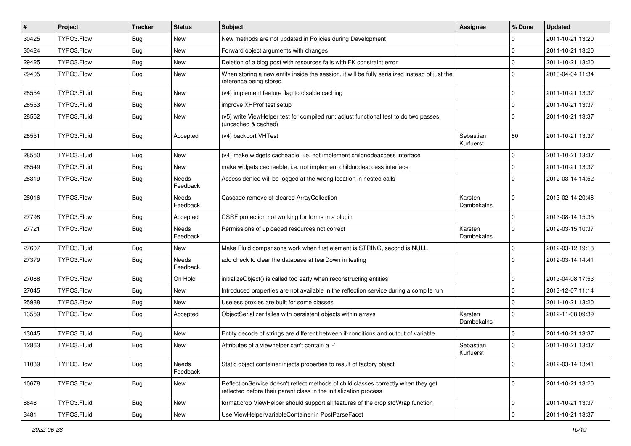| $\#$  | Project     | <b>Tracker</b> | <b>Status</b>            | Subject                                                                                                                                                 | <b>Assignee</b>        | % Done       | <b>Updated</b>   |
|-------|-------------|----------------|--------------------------|---------------------------------------------------------------------------------------------------------------------------------------------------------|------------------------|--------------|------------------|
| 30425 | TYPO3.Flow  | <b>Bug</b>     | New                      | New methods are not updated in Policies during Development                                                                                              |                        | 0            | 2011-10-21 13:20 |
| 30424 | TYPO3.Flow  | <b>Bug</b>     | <b>New</b>               | Forward object arguments with changes                                                                                                                   |                        | $\mathbf 0$  | 2011-10-21 13:20 |
| 29425 | TYPO3.Flow  | Bug            | New                      | Deletion of a blog post with resources fails with FK constraint error                                                                                   |                        | $\mathbf 0$  | 2011-10-21 13:20 |
| 29405 | TYPO3.Flow  | Bug            | New                      | When storing a new entity inside the session, it will be fully serialized instead of just the<br>reference being stored                                 |                        | $\mathbf 0$  | 2013-04-04 11:34 |
| 28554 | TYPO3.Fluid | <b>Bug</b>     | New                      | (v4) implement feature flag to disable caching                                                                                                          |                        | $\mathbf 0$  | 2011-10-21 13:37 |
| 28553 | TYPO3.Fluid | Bug            | New                      | improve XHProf test setup                                                                                                                               |                        | $\mathbf{0}$ | 2011-10-21 13:37 |
| 28552 | TYPO3.Fluid | Bug            | New                      | (v5) write ViewHelper test for compiled run; adjust functional test to do two passes<br>(uncached & cached)                                             |                        | $\mathbf 0$  | 2011-10-21 13:37 |
| 28551 | TYPO3.Fluid | Bug            | Accepted                 | (v4) backport VHTest                                                                                                                                    | Sebastian<br>Kurfuerst | 80           | 2011-10-21 13:37 |
| 28550 | TYPO3.Fluid | Bug            | <b>New</b>               | (v4) make widgets cacheable, i.e. not implement childnodeaccess interface                                                                               |                        | $\mathbf 0$  | 2011-10-21 13:37 |
| 28549 | TYPO3.Fluid | Bug            | <b>New</b>               | make widgets cacheable, i.e. not implement childnodeaccess interface                                                                                    |                        | 0            | 2011-10-21 13:37 |
| 28319 | TYPO3.Flow  | Bug            | Needs<br>Feedback        | Access denied will be logged at the wrong location in nested calls                                                                                      |                        | $\Omega$     | 2012-03-14 14:52 |
| 28016 | TYPO3.Flow  | Bug            | <b>Needs</b><br>Feedback | Cascade remove of cleared ArrayCollection                                                                                                               | Karsten<br>Dambekalns  | $\Omega$     | 2013-02-14 20:46 |
| 27798 | TYPO3.Flow  | Bug            | Accepted                 | CSRF protection not working for forms in a plugin                                                                                                       |                        | $\mathbf{0}$ | 2013-08-14 15:35 |
| 27721 | TYPO3.Flow  | Bug            | Needs<br>Feedback        | Permissions of uploaded resources not correct                                                                                                           | Karsten<br>Dambekalns  | $\mathbf 0$  | 2012-03-15 10:37 |
| 27607 | TYPO3.Fluid | <b>Bug</b>     | New                      | Make Fluid comparisons work when first element is STRING, second is NULL.                                                                               |                        | $\mathbf{0}$ | 2012-03-12 19:18 |
| 27379 | TYPO3.Flow  | Bug            | Needs<br>Feedback        | add check to clear the database at tearDown in testing                                                                                                  |                        | $\Omega$     | 2012-03-14 14:41 |
| 27088 | TYPO3.Flow  | Bug            | On Hold                  | initializeObject() is called too early when reconstructing entities                                                                                     |                        | $\mathbf 0$  | 2013-04-08 17:53 |
| 27045 | TYPO3.Flow  | <b>Bug</b>     | New                      | Introduced properties are not available in the reflection service during a compile run                                                                  |                        | $\mathbf 0$  | 2013-12-07 11:14 |
| 25988 | TYPO3.Flow  | Bug            | <b>New</b>               | Useless proxies are built for some classes                                                                                                              |                        | $\mathbf 0$  | 2011-10-21 13:20 |
| 13559 | TYPO3.Flow  | Bug            | Accepted                 | ObjectSerializer failes with persistent objects within arrays                                                                                           | Karsten<br>Dambekalns  | $\mathbf 0$  | 2012-11-08 09:39 |
| 13045 | TYPO3.Fluid | <b>Bug</b>     | <b>New</b>               | Entity decode of strings are different between if-conditions and output of variable                                                                     |                        | $\mathbf{0}$ | 2011-10-21 13:37 |
| 12863 | TYPO3.Fluid | Bug            | New                      | Attributes of a viewhelper can't contain a '-'                                                                                                          | Sebastian<br>Kurfuerst | $\mathbf 0$  | 2011-10-21 13:37 |
| 11039 | TYPO3.Flow  | <b>Bug</b>     | Needs<br>Feedback        | Static object container injects properties to result of factory object                                                                                  |                        | 0            | 2012-03-14 13:41 |
| 10678 | TYPO3.Flow  | <b>Bug</b>     | New                      | ReflectionService doesn't reflect methods of child classes correctly when they get<br>reflected before their parent class in the initialization process |                        | $\mathbf{0}$ | 2011-10-21 13:20 |
| 8648  | TYPO3.Fluid | <b>Bug</b>     | New                      | format.crop ViewHelper should support all features of the crop stdWrap function                                                                         |                        | 0            | 2011-10-21 13:37 |
| 3481  | TYPO3.Fluid | <b>Bug</b>     | New                      | Use ViewHelperVariableContainer in PostParseFacet                                                                                                       |                        | 0            | 2011-10-21 13:37 |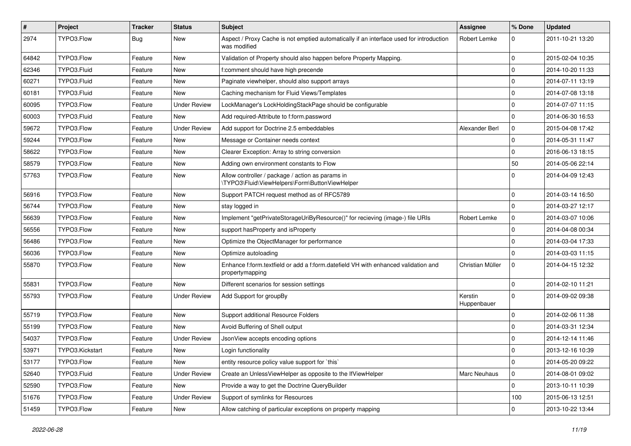| $\sharp$ | Project         | <b>Tracker</b> | <b>Status</b>       | Subject                                                                                                 | <b>Assignee</b>        | % Done      | <b>Updated</b>   |
|----------|-----------------|----------------|---------------------|---------------------------------------------------------------------------------------------------------|------------------------|-------------|------------------|
| 2974     | TYPO3.Flow      | Bug            | New                 | Aspect / Proxy Cache is not emptied automatically if an interface used for introduction<br>was modified | Robert Lemke           | 0           | 2011-10-21 13:20 |
| 64842    | TYPO3.Flow      | Feature        | <b>New</b>          | Validation of Property should also happen before Property Mapping.                                      |                        | 0           | 2015-02-04 10:35 |
| 62346    | TYPO3.Fluid     | Feature        | New                 | f:comment should have high precende                                                                     |                        | 0           | 2014-10-20 11:33 |
| 60271    | TYPO3.Fluid     | Feature        | <b>New</b>          | Paginate viewhelper, should also support arrays                                                         |                        | 0           | 2014-07-11 13:19 |
| 60181    | TYPO3.Fluid     | Feature        | New                 | Caching mechanism for Fluid Views/Templates                                                             |                        | $\pmb{0}$   | 2014-07-08 13:18 |
| 60095    | TYPO3.Flow      | Feature        | <b>Under Review</b> | LockManager's LockHoldingStackPage should be configurable                                               |                        | $\mathbf 0$ | 2014-07-07 11:15 |
| 60003    | TYPO3.Fluid     | Feature        | New                 | Add required-Attribute to f:form.password                                                               |                        | $\mathbf 0$ | 2014-06-30 16:53 |
| 59672    | TYPO3.Flow      | Feature        | <b>Under Review</b> | Add support for Doctrine 2.5 embeddables                                                                | Alexander Berl         | 0           | 2015-04-08 17:42 |
| 59244    | TYPO3.Flow      | Feature        | <b>New</b>          | Message or Container needs context                                                                      |                        | 0           | 2014-05-31 11:47 |
| 58622    | TYPO3.Flow      | Feature        | New                 | Clearer Exception: Array to string conversion                                                           |                        | $\mathbf 0$ | 2016-06-13 18:15 |
| 58579    | TYPO3.Flow      | Feature        | <b>New</b>          | Adding own environment constants to Flow                                                                |                        | 50          | 2014-05-06 22:14 |
| 57763    | TYPO3.Flow      | Feature        | <b>New</b>          | Allow controller / package / action as params in<br>\TYPO3\Fluid\ViewHelpers\Form\ButtonViewHelper      |                        | $\mathbf 0$ | 2014-04-09 12:43 |
| 56916    | TYPO3.Flow      | Feature        | <b>New</b>          | Support PATCH request method as of RFC5789                                                              |                        | 0           | 2014-03-14 16:50 |
| 56744    | TYPO3.Flow      | Feature        | New                 | stay logged in                                                                                          |                        | $\mathbf 0$ | 2014-03-27 12:17 |
| 56639    | TYPO3.Flow      | Feature        | New                 | Implement "getPrivateStorageUriByResource()" for recieving (image-) file URIs                           | Robert Lemke           | 0           | 2014-03-07 10:06 |
| 56556    | TYPO3.Flow      | Feature        | <b>New</b>          | support has Property and is Property                                                                    |                        | 0           | 2014-04-08 00:34 |
| 56486    | TYPO3.Flow      | Feature        | New                 | Optimize the ObjectManager for performance                                                              |                        | $\mathbf 0$ | 2014-03-04 17:33 |
| 56036    | TYPO3.Flow      | Feature        | New                 | Optimize autoloading                                                                                    |                        | $\mathbf 0$ | 2014-03-03 11:15 |
| 55870    | TYPO3.Flow      | Feature        | New                 | Enhance f:form.textfield or add a f:form.datefield VH with enhanced validation and<br>propertymapping   | Christian Müller       | 0           | 2014-04-15 12:32 |
| 55831    | TYPO3.Flow      | Feature        | <b>New</b>          | Different scenarios for session settings                                                                |                        | $\mathbf 0$ | 2014-02-10 11:21 |
| 55793    | TYPO3.Flow      | Feature        | <b>Under Review</b> | Add Support for groupBy                                                                                 | Kerstin<br>Huppenbauer | $\mathbf 0$ | 2014-09-02 09:38 |
| 55719    | TYPO3.Flow      | Feature        | <b>New</b>          | Support additional Resource Folders                                                                     |                        | 0           | 2014-02-06 11:38 |
| 55199    | TYPO3.Flow      | Feature        | New                 | Avoid Buffering of Shell output                                                                         |                        | 0           | 2014-03-31 12:34 |
| 54037    | TYPO3.Flow      | Feature        | <b>Under Review</b> | JsonView accepts encoding options                                                                       |                        | 0           | 2014-12-14 11:46 |
| 53971    | TYPO3.Kickstart | Feature        | New                 | Login functionality                                                                                     |                        | $\mathbf 0$ | 2013-12-16 10:39 |
| 53177    | TYPO3.Flow      | Feature        | New                 | entity resource policy value support for `this`                                                         |                        | $\mathbf 0$ | 2014-05-20 09:22 |
| 52640    | TYPO3.Fluid     | Feature        | <b>Under Review</b> | Create an UnlessViewHelper as opposite to the IfViewHelper                                              | <b>Marc Neuhaus</b>    | $\mathbf 0$ | 2014-08-01 09:02 |
| 52590    | TYPO3.Flow      | Feature        | New                 | Provide a way to get the Doctrine QueryBuilder                                                          |                        | $\mathbf 0$ | 2013-10-11 10:39 |
| 51676    | TYPO3.Flow      | Feature        | <b>Under Review</b> | Support of symlinks for Resources                                                                       |                        | 100         | 2015-06-13 12:51 |
| 51459    | TYPO3.Flow      | Feature        | New                 | Allow catching of particular exceptions on property mapping                                             |                        | $\mathbf 0$ | 2013-10-22 13:44 |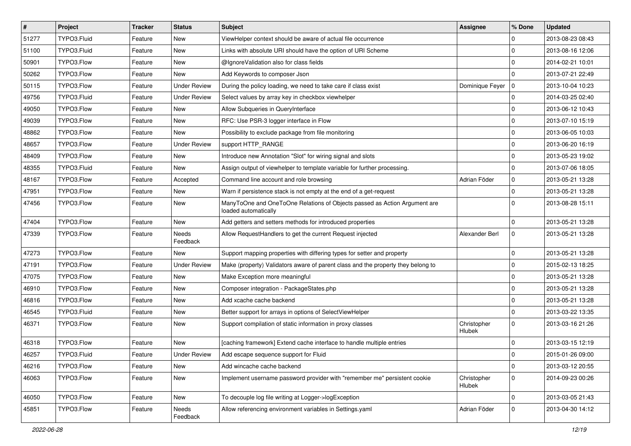| $\vert$ # | Project     | <b>Tracker</b> | <b>Status</b>       | Subject                                                                                           | <b>Assignee</b>       | ∣% Done        | <b>Updated</b>   |
|-----------|-------------|----------------|---------------------|---------------------------------------------------------------------------------------------------|-----------------------|----------------|------------------|
| 51277     | TYPO3.Fluid | Feature        | New                 | ViewHelper context should be aware of actual file occurrence                                      |                       | $\Omega$       | 2013-08-23 08:43 |
| 51100     | TYPO3.Fluid | Feature        | <b>New</b>          | Links with absolute URI should have the option of URI Scheme                                      |                       | $\Omega$       | 2013-08-16 12:06 |
| 50901     | TYPO3.Flow  | Feature        | New                 | @IgnoreValidation also for class fields                                                           |                       | $\overline{0}$ | 2014-02-21 10:01 |
| 50262     | TYPO3.Flow  | Feature        | New                 | Add Keywords to composer Json                                                                     |                       | $\Omega$       | 2013-07-21 22:49 |
| 50115     | TYPO3.Flow  | Feature        | <b>Under Review</b> | During the policy loading, we need to take care if class exist                                    | Dominique Feyer       | $\overline{0}$ | 2013-10-04 10:23 |
| 49756     | TYPO3.Fluid | Feature        | <b>Under Review</b> | Select values by array key in checkbox viewhelper                                                 |                       | 0              | 2014-03-25 02:40 |
| 49050     | TYPO3.Flow  | Feature        | New                 | Allow Subqueries in QueryInterface                                                                |                       | 0              | 2013-06-12 10:43 |
| 49039     | TYPO3.Flow  | Feature        | New                 | RFC: Use PSR-3 logger interface in Flow                                                           |                       | $\mathbf 0$    | 2013-07-10 15:19 |
| 48862     | TYPO3.Flow  | Feature        | <b>New</b>          | Possibility to exclude package from file monitoring                                               |                       | $\Omega$       | 2013-06-05 10:03 |
| 48657     | TYPO3.Flow  | Feature        | <b>Under Review</b> | support HTTP_RANGE                                                                                |                       | $\Omega$       | 2013-06-20 16:19 |
| 48409     | TYPO3.Flow  | Feature        | New                 | Introduce new Annotation "Slot" for wiring signal and slots                                       |                       | 0              | 2013-05-23 19:02 |
| 48355     | TYPO3.Fluid | Feature        | New                 | Assign output of viewhelper to template variable for further processing.                          |                       | $\mathbf 0$    | 2013-07-06 18:05 |
| 48167     | TYPO3.Flow  | Feature        | Accepted            | Command line account and role browsing                                                            | Adrian Föder          | $\overline{0}$ | 2013-05-21 13:28 |
| 47951     | TYPO3.Flow  | Feature        | New                 | Warn if persistence stack is not empty at the end of a get-request                                |                       | $\overline{0}$ | 2013-05-21 13:28 |
| 47456     | TYPO3.Flow  | Feature        | New                 | ManyToOne and OneToOne Relations of Objects passed as Action Argument are<br>loaded automatically |                       | $\Omega$       | 2013-08-28 15:11 |
| 47404     | TYPO3.Flow  | Feature        | New                 | Add getters and setters methods for introduced properties                                         |                       | $\Omega$       | 2013-05-21 13:28 |
| 47339     | TYPO3.Flow  | Feature        | Needs<br>Feedback   | Allow RequestHandlers to get the current Request injected                                         | Alexander Berl        | $\mathbf 0$    | 2013-05-21 13:28 |
| 47273     | TYPO3.Flow  | Feature        | New                 | Support mapping properties with differing types for setter and property                           |                       | $\mathbf 0$    | 2013-05-21 13:28 |
| 47191     | TYPO3.Flow  | Feature        | <b>Under Review</b> | Make (property) Validators aware of parent class and the property they belong to                  |                       | $\Omega$       | 2015-02-13 18:25 |
| 47075     | TYPO3.Flow  | Feature        | New                 | Make Exception more meaningful                                                                    |                       | $\Omega$       | 2013-05-21 13:28 |
| 46910     | TYPO3.Flow  | Feature        | New                 | Composer integration - PackageStates.php                                                          |                       | $\Omega$       | 2013-05-21 13:28 |
| 46816     | TYPO3.Flow  | Feature        | New                 | Add xcache cache backend                                                                          |                       | 0              | 2013-05-21 13:28 |
| 46545     | TYPO3.Fluid | Feature        | New                 | Better support for arrays in options of SelectViewHelper                                          |                       | $\overline{0}$ | 2013-03-22 13:35 |
| 46371     | TYPO3.Flow  | Feature        | <b>New</b>          | Support compilation of static information in proxy classes                                        | Christopher<br>Hlubek | $\Omega$       | 2013-03-16 21:26 |
| 46318     | TYPO3.Flow  | Feature        | New                 | [caching framework] Extend cache interface to handle multiple entries                             |                       | $\Omega$       | 2013-03-15 12:19 |
| 46257     | TYPO3.Fluid | Feature        | <b>Under Review</b> | Add escape sequence support for Fluid                                                             |                       | $\overline{0}$ | 2015-01-26 09:00 |
| 46216     | TYPO3.Flow  | Feature        | New                 | Add wincache cache backend                                                                        |                       | $\overline{0}$ | 2013-03-12 20:55 |
| 46063     | TYPO3.Flow  | Feature        | New                 | Implement username password provider with "remember me" persistent cookie                         | Christopher<br>Hlubek | $\overline{0}$ | 2014-09-23 00:26 |
| 46050     | TYPO3.Flow  | Feature        | New                 | To decouple log file writing at Logger->logException                                              |                       | $\overline{0}$ | 2013-03-05 21:43 |
| 45851     | TYPO3.Flow  | Feature        | Needs<br>Feedback   | Allow referencing environment variables in Settings.yaml                                          | Adrian Föder          | $\overline{0}$ | 2013-04-30 14:12 |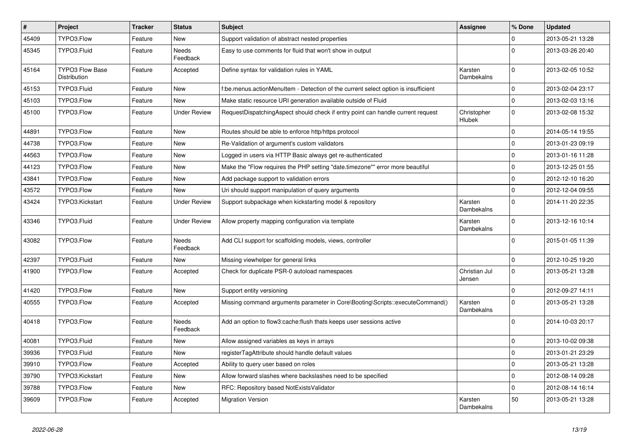| $\vert$ # | Project                                       | <b>Tracker</b> | <b>Status</b>            | <b>Subject</b>                                                                     | <b>Assignee</b>         | % Done       | <b>Updated</b>   |
|-----------|-----------------------------------------------|----------------|--------------------------|------------------------------------------------------------------------------------|-------------------------|--------------|------------------|
| 45409     | TYPO3.Flow                                    | Feature        | <b>New</b>               | Support validation of abstract nested properties                                   |                         | 0            | 2013-05-21 13:28 |
| 45345     | TYPO3.Fluid                                   | Feature        | Needs<br>Feedback        | Easy to use comments for fluid that won't show in output                           |                         | $\Omega$     | 2013-03-26 20:40 |
| 45164     | <b>TYPO3 Flow Base</b><br><b>Distribution</b> | Feature        | Accepted                 | Define syntax for validation rules in YAML                                         | Karsten<br>Dambekalns   | $\mathbf{0}$ | 2013-02-05 10:52 |
| 45153     | TYPO3.Fluid                                   | Feature        | <b>New</b>               | f:be.menus.actionMenuItem - Detection of the current select option is insufficient |                         | $\mathbf 0$  | 2013-02-04 23:17 |
| 45103     | TYPO3.Flow                                    | Feature        | New                      | Make static resource URI generation available outside of Fluid                     |                         | $\mathbf 0$  | 2013-02-03 13:16 |
| 45100     | TYPO3.Flow                                    | Feature        | <b>Under Review</b>      | RequestDispatchingAspect should check if entry point can handle current request    | Christopher<br>Hlubek   | $\Omega$     | 2013-02-08 15:32 |
| 44891     | TYPO3.Flow                                    | Feature        | <b>New</b>               | Routes should be able to enforce http/https protocol                               |                         | $\mathbf 0$  | 2014-05-14 19:55 |
| 44738     | TYPO3.Flow                                    | Feature        | <b>New</b>               | Re-Validation of argument's custom validators                                      |                         | $\mathbf 0$  | 2013-01-23 09:19 |
| 44563     | TYPO3.Flow                                    | Feature        | New                      | Logged in users via HTTP Basic always get re-authenticated                         |                         | $\mathbf 0$  | 2013-01-16 11:28 |
| 44123     | TYPO3.Flow                                    | Feature        | <b>New</b>               | Make the "Flow requires the PHP setting "date.timezone"" error more beautiful      |                         | $\mathbf{0}$ | 2013-12-25 01:55 |
| 43841     | TYPO3.Flow                                    | Feature        | New                      | Add package support to validation errors                                           |                         | $\mathbf{0}$ | 2012-12-10 16:20 |
| 43572     | TYPO3.Flow                                    | Feature        | <b>New</b>               | Uri should support manipulation of query arguments                                 |                         | $\mathbf{0}$ | 2012-12-04 09:55 |
| 43424     | TYPO3.Kickstart                               | Feature        | <b>Under Review</b>      | Support subpackage when kickstarting model & repository                            | Karsten<br>Dambekalns   | $\Omega$     | 2014-11-20 22:35 |
| 43346     | TYPO3.Fluid                                   | Feature        | <b>Under Review</b>      | Allow property mapping configuration via template                                  | Karsten<br>Dambekalns   | $\mathbf{0}$ | 2013-12-16 10:14 |
| 43082     | TYPO3.Flow                                    | Feature        | <b>Needs</b><br>Feedback | Add CLI support for scaffolding models, views, controller                          |                         | $\Omega$     | 2015-01-05 11:39 |
| 42397     | TYPO3.Fluid                                   | Feature        | <b>New</b>               | Missing viewhelper for general links                                               |                         | $\mathbf 0$  | 2012-10-25 19:20 |
| 41900     | TYPO3.Flow                                    | Feature        | Accepted                 | Check for duplicate PSR-0 autoload namespaces                                      | Christian Jul<br>Jensen | $\mathsf{O}$ | 2013-05-21 13:28 |
| 41420     | TYPO3.Flow                                    | Feature        | <b>New</b>               | Support entity versioning                                                          |                         | $\mathbf{0}$ | 2012-09-27 14:11 |
| 40555     | TYPO3.Flow                                    | Feature        | Accepted                 | Missing command arguments parameter in Core\Booting\Scripts::executeCommand()      | Karsten<br>Dambekalns   | $\Omega$     | 2013-05-21 13:28 |
| 40418     | TYPO3.Flow                                    | Feature        | Needs<br>Feedback        | Add an option to flow3:cache: flush thats keeps user sessions active               |                         | $\Omega$     | 2014-10-03 20:17 |
| 40081     | TYPO3.Fluid                                   | Feature        | New                      | Allow assigned variables as keys in arrays                                         |                         | $\mathbf{0}$ | 2013-10-02 09:38 |
| 39936     | TYPO3.Fluid                                   | Feature        | <b>New</b>               | registerTagAttribute should handle default values                                  |                         | $\mathbf 0$  | 2013-01-21 23:29 |
| 39910     | TYPO3.Flow                                    | Feature        | Accepted                 | Ability to query user based on roles                                               |                         | $\mathbf 0$  | 2013-05-21 13:28 |
| 39790     | TYPO3.Kickstart                               | Feature        | <b>New</b>               | Allow forward slashes where backslashes need to be specified                       |                         | $\mathbf{0}$ | 2012-08-14 09:28 |
| 39788     | TYPO3.Flow                                    | Feature        | <b>New</b>               | RFC: Repository based NotExistsValidator                                           |                         | $\mathbf{0}$ | 2012-08-14 16:14 |
| 39609     | TYPO3.Flow                                    | Feature        | Accepted                 | <b>Migration Version</b>                                                           | Karsten<br>Dambekalns   | 50           | 2013-05-21 13:28 |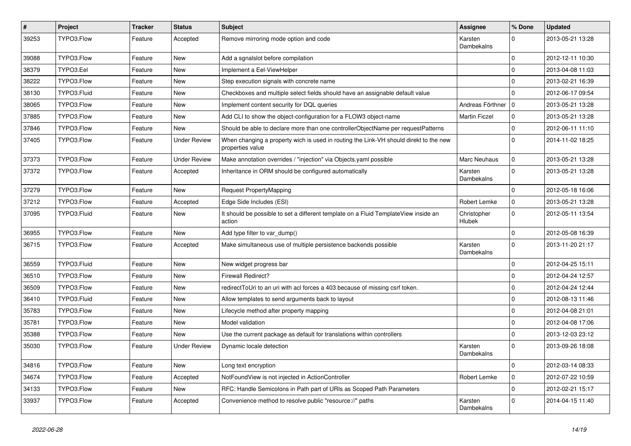| $\sharp$ | Project     | <b>Tracker</b> | <b>Status</b>       | Subject                                                                                                   | <b>Assignee</b>              | % Done       | <b>Updated</b>   |
|----------|-------------|----------------|---------------------|-----------------------------------------------------------------------------------------------------------|------------------------------|--------------|------------------|
| 39253    | TYPO3.Flow  | Feature        | Accepted            | Remove mirroring mode option and code                                                                     | Karsten<br>Dambekalns        | $\mathbf 0$  | 2013-05-21 13:28 |
| 39088    | TYPO3.Flow  | Feature        | New                 | Add a sgnalslot before compilation                                                                        |                              | $\mathbf 0$  | 2012-12-11 10:30 |
| 38379    | TYPO3.Eel   | Feature        | New                 | Implement a Eel-ViewHelper                                                                                |                              | $\mathbf 0$  | 2013-04-08 11:03 |
| 38222    | TYPO3.Flow  | Feature        | New                 | Step execution signals with concrete name                                                                 |                              | $\mathbf 0$  | 2013-02-21 16:39 |
| 38130    | TYPO3.Fluid | Feature        | New                 | Checkboxes and multiple select fields should have an assignable default value                             |                              | $\mathbf 0$  | 2012-06-17 09:54 |
| 38065    | TYPO3.Flow  | Feature        | <b>New</b>          | Implement content security for DQL queries                                                                | Andreas Förthner   0         |              | 2013-05-21 13:28 |
| 37885    | TYPO3.Flow  | Feature        | New                 | Add CLI to show the object-configuration for a FLOW3 object-name                                          | <b>Martin Ficzel</b>         | $\mathbf 0$  | 2013-05-21 13:28 |
| 37846    | TYPO3.Flow  | Feature        | New                 | Should be able to declare more than one controllerObjectName per requestPatterns                          |                              | 0            | 2012-06-11 11:10 |
| 37405    | TYPO3.Flow  | Feature        | <b>Under Review</b> | When changing a property wich is used in routing the Link-VH should direkt to the new<br>properties value |                              | $\Omega$     | 2014-11-02 18:25 |
| 37373    | TYPO3.Flow  | Feature        | <b>Under Review</b> | Make annotation overrides / "injection" via Objects.yaml possible                                         | Marc Neuhaus                 | $\mathsf 0$  | 2013-05-21 13:28 |
| 37372    | TYPO3.Flow  | Feature        | Accepted            | Inheritance in ORM should be configured automatically                                                     | Karsten<br>Dambekalns        | $\mathbf 0$  | 2013-05-21 13:28 |
| 37279    | TYPO3.Flow  | Feature        | <b>New</b>          | Request PropertyMapping                                                                                   |                              | $\mathbf 0$  | 2012-05-18 16:06 |
| 37212    | TYPO3.Flow  | Feature        | Accepted            | Edge Side Includes (ESI)                                                                                  | Robert Lemke                 | $\mathbf 0$  | 2013-05-21 13:28 |
| 37095    | TYPO3.Fluid | Feature        | New                 | It should be possible to set a different template on a Fluid TemplateView inside an<br>action             | Christopher<br><b>Hlubek</b> | $\mathbf 0$  | 2012-05-11 13:54 |
| 36955    | TYPO3.Flow  | Feature        | <b>New</b>          | Add type filter to var_dump()                                                                             |                              | $\mathbf{0}$ | 2012-05-08 16:39 |
| 36715    | TYPO3.Flow  | Feature        | Accepted            | Make simultaneous use of multiple persistence backends possible                                           | Karsten<br>Dambekalns        | $\mathbf 0$  | 2013-11-20 21:17 |
| 36559    | TYPO3.Fluid | Feature        | <b>New</b>          | New widget progress bar                                                                                   |                              | $\mathbf 0$  | 2012-04-25 15:11 |
| 36510    | TYPO3.Flow  | Feature        | <b>New</b>          | Firewall Redirect?                                                                                        |                              | $\mathbf 0$  | 2012-04-24 12:57 |
| 36509    | TYPO3.Flow  | Feature        | New                 | redirectToUri to an uri with acl forces a 403 because of missing csrf token.                              |                              | $\mathbf 0$  | 2012-04-24 12:44 |
| 36410    | TYPO3.Fluid | Feature        | New                 | Allow templates to send arguments back to layout                                                          |                              | $\mathbf 0$  | 2012-08-13 11:46 |
| 35783    | TYPO3.Flow  | Feature        | <b>New</b>          | Lifecycle method after property mapping                                                                   |                              | $\mathbf 0$  | 2012-04-08 21:01 |
| 35781    | TYPO3.Flow  | Feature        | New                 | Model validation                                                                                          |                              | 0            | 2012-04-08 17:06 |
| 35388    | TYPO3.Flow  | Feature        | New                 | Use the current package as default for translations within controllers                                    |                              | $\mathbf 0$  | 2013-12-03 23:12 |
| 35030    | TYPO3.Flow  | Feature        | <b>Under Review</b> | Dynamic locale detection                                                                                  | Karsten<br>Dambekalns        | $\mathbf 0$  | 2013-09-26 18:08 |
| 34816    | TYPO3.Flow  | Feature        | New                 | Long text encryption                                                                                      |                              | $\mathsf 0$  | 2012-03-14 08:33 |
| 34674    | TYPO3.Flow  | Feature        | Accepted            | NotFoundView is not injected in ActionController                                                          | Robert Lemke                 | $\mathbf 0$  | 2012-07-22 10:59 |
| 34133    | TYPO3.Flow  | Feature        | New                 | RFC: Handle Semicolons in Path part of URIs as Scoped Path Parameters                                     |                              | $\pmb{0}$    | 2012-02-21 15:17 |
| 33937    | TYPO3.Flow  | Feature        | Accepted            | Convenience method to resolve public "resource://" paths                                                  | Karsten<br>Dambekalns        | 0            | 2014-04-15 11:40 |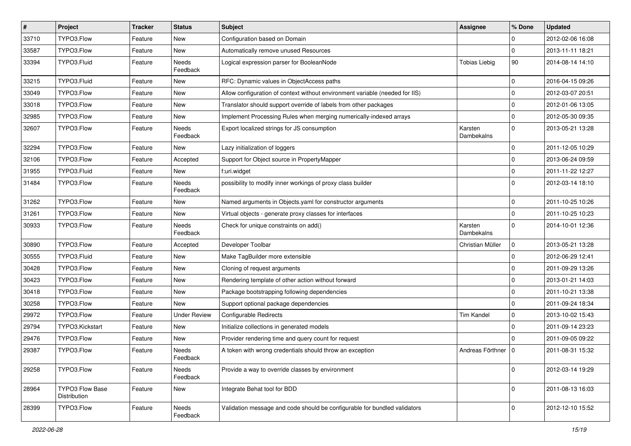| $\vert$ # | Project                         | Tracker | <b>Status</b>       | Subject                                                                      | <b>Assignee</b>       | % Done       | <b>Updated</b>   |
|-----------|---------------------------------|---------|---------------------|------------------------------------------------------------------------------|-----------------------|--------------|------------------|
| 33710     | TYPO3.Flow                      | Feature | New                 | Configuration based on Domain                                                |                       | 0            | 2012-02-06 16:08 |
| 33587     | TYPO3.Flow                      | Feature | <b>New</b>          | Automatically remove unused Resources                                        |                       | $\Omega$     | 2013-11-11 18:21 |
| 33394     | TYPO3.Fluid                     | Feature | Needs<br>Feedback   | Logical expression parser for BooleanNode                                    | <b>Tobias Liebig</b>  | 90           | 2014-08-14 14:10 |
| 33215     | TYPO3.Fluid                     | Feature | <b>New</b>          | RFC: Dynamic values in ObjectAccess paths                                    |                       | $\Omega$     | 2016-04-15 09:26 |
| 33049     | TYPO3.Flow                      | Feature | New                 | Allow configuration of context without environment variable (needed for IIS) |                       | $\mathbf 0$  | 2012-03-07 20:51 |
| 33018     | TYPO3.Flow                      | Feature | <b>New</b>          | Translator should support override of labels from other packages             |                       | $\Omega$     | 2012-01-06 13:05 |
| 32985     | TYPO3.Flow                      | Feature | New                 | Implement Processing Rules when merging numerically-indexed arrays           |                       | $\mathbf 0$  | 2012-05-30 09:35 |
| 32607     | TYPO3.Flow                      | Feature | Needs<br>Feedback   | Export localized strings for JS consumption                                  | Karsten<br>Dambekalns | $\Omega$     | 2013-05-21 13:28 |
| 32294     | TYPO3.Flow                      | Feature | <b>New</b>          | Lazy initialization of loggers                                               |                       | $\mathbf 0$  | 2011-12-05 10:29 |
| 32106     | TYPO3.Flow                      | Feature | Accepted            | Support for Object source in PropertyMapper                                  |                       | $\Omega$     | 2013-06-24 09:59 |
| 31955     | TYPO3.Fluid                     | Feature | <b>New</b>          | f:uri.widget                                                                 |                       | $\mathbf 0$  | 2011-11-22 12:27 |
| 31484     | TYPO3.Flow                      | Feature | Needs<br>Feedback   | possibility to modify inner workings of proxy class builder                  |                       | $\Omega$     | 2012-03-14 18:10 |
| 31262     | TYPO3.Flow                      | Feature | <b>New</b>          | Named arguments in Objects.yaml for constructor arguments                    |                       | $\mathbf 0$  | 2011-10-25 10:26 |
| 31261     | TYPO3.Flow                      | Feature | <b>New</b>          | Virtual objects - generate proxy classes for interfaces                      |                       | $\Omega$     | 2011-10-25 10:23 |
| 30933     | TYPO3.Flow                      | Feature | Needs<br>Feedback   | Check for unique constraints on add()                                        | Karsten<br>Dambekalns | $\Omega$     | 2014-10-01 12:36 |
| 30890     | TYPO3.Flow                      | Feature | Accepted            | Developer Toolbar                                                            | Christian Müller      | $\mathbf 0$  | 2013-05-21 13:28 |
| 30555     | TYPO3.Fluid                     | Feature | New                 | Make TagBuilder more extensible                                              |                       | $\mathbf 0$  | 2012-06-29 12:41 |
| 30428     | TYPO3.Flow                      | Feature | <b>New</b>          | Cloning of request arguments                                                 |                       | $\mathbf 0$  | 2011-09-29 13:26 |
| 30423     | TYPO3.Flow                      | Feature | New                 | Rendering template of other action without forward                           |                       | $\Omega$     | 2013-01-21 14:03 |
| 30418     | TYPO3.Flow                      | Feature | New                 | Package bootstrapping following dependencies                                 |                       | $\mathbf{0}$ | 2011-10-21 13:38 |
| 30258     | TYPO3.Flow                      | Feature | <b>New</b>          | Support optional package dependencies                                        |                       | $\Omega$     | 2011-09-24 18:34 |
| 29972     | TYPO3.Flow                      | Feature | <b>Under Review</b> | <b>Configurable Redirects</b>                                                | <b>Tim Kandel</b>     | $\mathbf{0}$ | 2013-10-02 15:43 |
| 29794     | TYPO3.Kickstart                 | Feature | New                 | Initialize collections in generated models                                   |                       | $\mathbf{0}$ | 2011-09-14 23:23 |
| 29476     | TYPO3.Flow                      | Feature | <b>New</b>          | Provider rendering time and query count for request                          |                       | $\Omega$     | 2011-09-05 09:22 |
| 29387     | TYPO3.Flow                      | Feature | Needs<br>Feedback   | A token with wrong credentials should throw an exception                     | Andreas Förthner      | 10           | 2011-08-31 15:32 |
| 29258     | TYPO3.Flow                      | Feature | Needs<br>Feedback   | Provide a way to override classes by environment                             |                       | $\mathbf{0}$ | 2012-03-14 19:29 |
| 28964     | TYPO3 Flow Base<br>Distribution | Feature | New                 | Integrate Behat tool for BDD                                                 |                       | $\Omega$     | 2011-08-13 16:03 |
| 28399     | TYPO3.Flow                      | Feature | Needs<br>Feedback   | Validation message and code should be configurable for bundled validators    |                       | $\mathbf{0}$ | 2012-12-10 15:52 |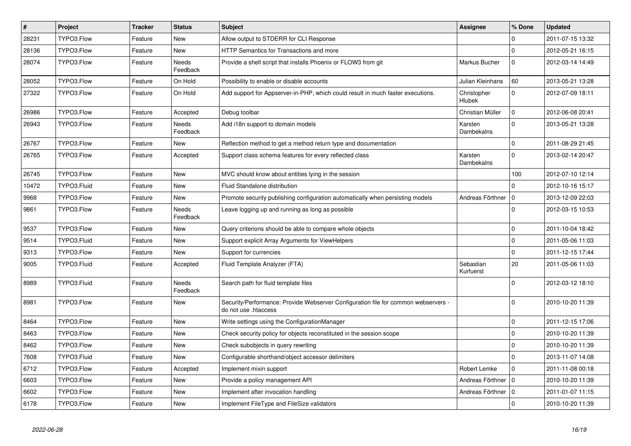| $\pmb{\#}$ | Project     | <b>Tracker</b> | <b>Status</b>     | <b>Subject</b>                                                                                             | Assignee                     | % Done         | <b>Updated</b>   |
|------------|-------------|----------------|-------------------|------------------------------------------------------------------------------------------------------------|------------------------------|----------------|------------------|
| 28231      | TYPO3.Flow  | Feature        | New               | Allow output to STDERR for CLI Response                                                                    |                              | $\Omega$       | 2011-07-15 13:32 |
| 28136      | TYPO3.Flow  | Feature        | New               | HTTP Semantics for Transactions and more                                                                   |                              | $\overline{0}$ | 2012-05-21 16:15 |
| 28074      | TYPO3.Flow  | Feature        | Needs<br>Feedback | Provide a shell script that installs Phoenix or FLOW3 from git                                             | Markus Bucher                | $\overline{0}$ | 2012-03-14 14:49 |
| 28052      | TYPO3.Flow  | Feature        | On Hold           | Possibility to enable or disable accounts                                                                  | Julian Kleinhans             | 60             | 2013-05-21 13:28 |
| 27322      | TYPO3.Flow  | Feature        | On Hold           | Add support for Appserver-in-PHP, which could result in much faster executions.                            | Christopher<br><b>Hlubek</b> | $\overline{0}$ | 2012-07-09 18:11 |
| 26986      | TYPO3.Flow  | Feature        | Accepted          | Debug toolbar                                                                                              | Christian Müller             | $\overline{0}$ | 2012-06-08 20:41 |
| 26943      | TYPO3.Flow  | Feature        | Needs<br>Feedback | Add i18n support to domain models                                                                          | Karsten<br>Dambekalns        | $\Omega$       | 2013-05-21 13:28 |
| 26767      | TYPO3.Flow  | Feature        | <b>New</b>        | Reflection method to get a method return type and documentation                                            |                              | $\overline{0}$ | 2011-08-29 21:45 |
| 26765      | TYPO3.Flow  | Feature        | Accepted          | Support class schema features for every reflected class                                                    | Karsten<br><b>Dambekalns</b> | $\overline{0}$ | 2013-02-14 20:47 |
| 26745      | TYPO3.Flow  | Feature        | <b>New</b>        | MVC should know about entities lying in the session                                                        |                              | 100            | 2012-07-10 12:14 |
| 10472      | TYPO3.Fluid | Feature        | <b>New</b>        | Fluid Standalone distribution                                                                              |                              | $\overline{0}$ | 2012-10-16 15:17 |
| 9968       | TYPO3.Flow  | Feature        | New               | Promote security publishing configuration automatically when persisting models                             | Andreas Förthner             | $\overline{0}$ | 2013-12-09 22:03 |
| 9861       | TYPO3.Flow  | Feature        | Needs<br>Feedback | Leave logging up and running as long as possible                                                           |                              | $\overline{0}$ | 2012-03-15 10:53 |
| 9537       | TYPO3.Flow  | Feature        | New               | Query criterions should be able to compare whole objects                                                   |                              | $\mathbf 0$    | 2011-10-04 18:42 |
| 9514       | TYPO3.Fluid | Feature        | New               | Support explicit Array Arguments for ViewHelpers                                                           |                              | l O            | 2011-05-06 11:03 |
| 9313       | TYPO3.Flow  | Feature        | <b>New</b>        | Support for currencies                                                                                     |                              | $\overline{0}$ | 2011-12-15 17:44 |
| 9005       | TYPO3.Fluid | Feature        | Accepted          | Fluid Template Analyzer (FTA)                                                                              | Sebastian<br>Kurfuerst       | 20             | 2011-05-06 11:03 |
| 8989       | TYPO3.Fluid | Feature        | Needs<br>Feedback | Search path for fluid template files                                                                       |                              | $\Omega$       | 2012-03-12 18:10 |
| 8981       | TYPO3.Flow  | Feature        | New               | Security/Performance: Provide Webserver Configuration file for common webservers -<br>do not use .htaccess |                              | $\Omega$       | 2010-10-20 11:39 |
| 8464       | TYPO3.Flow  | Feature        | <b>New</b>        | Write settings using the ConfigurationManager                                                              |                              | $\overline{0}$ | 2011-12-15 17:06 |
| 8463       | TYPO3.Flow  | Feature        | <b>New</b>        | Check security policy for objects reconstituted in the session scope                                       |                              | $\overline{0}$ | 2010-10-20 11:39 |
| 8462       | TYPO3.Flow  | Feature        | New               | Check subobjects in query rewriting                                                                        |                              | $\overline{0}$ | 2010-10-20 11:39 |
| 7608       | TYPO3.Fluid | Feature        | New               | Configurable shorthand/object accessor delimiters                                                          |                              | $\overline{0}$ | 2013-11-07 14:08 |
| 6712       | TYPO3.Flow  | Feature        | Accepted          | Implement mixin support                                                                                    | Robert Lemke                 | $\overline{0}$ | 2011-11-08 00:18 |
| 6603       | TYPO3.Flow  | Feature        | New               | Provide a policy management API                                                                            | Andreas Förthner             | l 0            | 2010-10-20 11:39 |
| 6602       | TYPO3.Flow  | Feature        | <b>New</b>        | Implement after invocation handling                                                                        | Andreas Förthner   0         |                | 2011-01-07 11:15 |
| 6178       | TYPO3.Flow  | Feature        | <b>New</b>        | Implement FileType and FileSize validators                                                                 |                              | $\Omega$       | 2010-10-20 11:39 |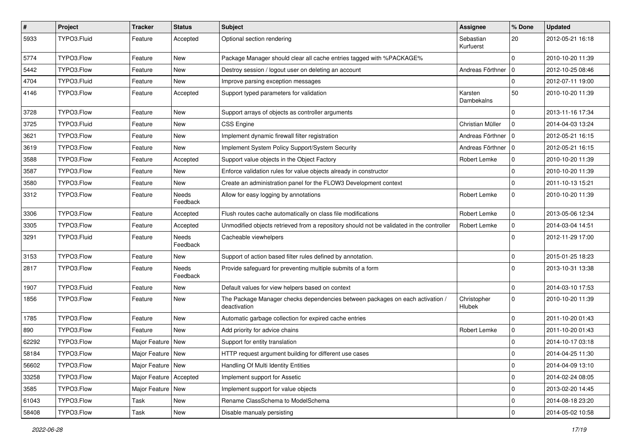| $\sharp$ | Project     | <b>Tracker</b>           | <b>Status</b>            | Subject                                                                                       | Assignee               | % Done       | <b>Updated</b>   |
|----------|-------------|--------------------------|--------------------------|-----------------------------------------------------------------------------------------------|------------------------|--------------|------------------|
| 5933     | TYPO3.Fluid | Feature                  | Accepted                 | Optional section rendering                                                                    | Sebastian<br>Kurfuerst | 20           | 2012-05-21 16:18 |
| 5774     | TYPO3.Flow  | Feature                  | New                      | Package Manager should clear all cache entries tagged with %PACKAGE%                          |                        | $\mathbf 0$  | 2010-10-20 11:39 |
| 5442     | TYPO3.Flow  | Feature                  | New                      | Destroy session / logout user on deleting an account                                          | Andreas Förthner   0   |              | 2012-10-25 08:46 |
| 4704     | TYPO3.Fluid | Feature                  | <b>New</b>               | Improve parsing exception messages                                                            |                        | $\mathbf 0$  | 2012-07-11 19:00 |
| 4146     | TYPO3.Flow  | Feature                  | Accepted                 | Support typed parameters for validation                                                       | Karsten<br>Dambekalns  | 50           | 2010-10-20 11:39 |
| 3728     | TYPO3.Flow  | Feature                  | New                      | Support arrays of objects as controller arguments                                             |                        | $\mathbf 0$  | 2013-11-16 17:34 |
| 3725     | TYPO3.Fluid | Feature                  | New                      | <b>CSS Engine</b>                                                                             | Christian Müller       | $\mathbf{0}$ | 2014-04-03 13:24 |
| 3621     | TYPO3.Flow  | Feature                  | New                      | Implement dynamic firewall filter registration                                                | Andreas Förthner   0   |              | 2012-05-21 16:15 |
| 3619     | TYPO3.Flow  | Feature                  | New                      | Implement System Policy Support/System Security                                               | Andreas Förthner   0   |              | 2012-05-21 16:15 |
| 3588     | TYPO3.Flow  | Feature                  | Accepted                 | Support value objects in the Object Factory                                                   | Robert Lemke           | $\mathbf 0$  | 2010-10-20 11:39 |
| 3587     | TYPO3.Flow  | Feature                  | New                      | Enforce validation rules for value objects already in constructor                             |                        | $\mathbf 0$  | 2010-10-20 11:39 |
| 3580     | TYPO3.Flow  | Feature                  | New                      | Create an administration panel for the FLOW3 Development context                              |                        | 0            | 2011-10-13 15:21 |
| 3312     | TYPO3.Flow  | Feature                  | <b>Needs</b><br>Feedback | Allow for easy logging by annotations                                                         | Robert Lemke           | $\mathbf 0$  | 2010-10-20 11:39 |
| 3306     | TYPO3.Flow  | Feature                  | Accepted                 | Flush routes cache automatically on class file modifications                                  | Robert Lemke           | $\pmb{0}$    | 2013-05-06 12:34 |
| 3305     | TYPO3.Flow  | Feature                  | Accepted                 | Unmodified objects retrieved from a repository should not be validated in the controller      | Robert Lemke           | 0            | 2014-03-04 14:51 |
| 3291     | TYPO3.Fluid | Feature                  | Needs<br>Feedback        | Cacheable viewhelpers                                                                         |                        | $\mathbf 0$  | 2012-11-29 17:00 |
| 3153     | TYPO3.Flow  | Feature                  | <b>New</b>               | Support of action based filter rules defined by annotation.                                   |                        | 0            | 2015-01-25 18:23 |
| 2817     | TYPO3.Flow  | Feature                  | Needs<br>Feedback        | Provide safeguard for preventing multiple submits of a form                                   |                        | $\mathbf 0$  | 2013-10-31 13:38 |
| 1907     | TYPO3.Fluid | Feature                  | New                      | Default values for view helpers based on context                                              |                        | 0            | 2014-03-10 17:53 |
| 1856     | TYPO3.Flow  | Feature                  | New                      | The Package Manager checks dependencies between packages on each activation /<br>deactivation | Christopher<br>Hlubek  | $\mathbf 0$  | 2010-10-20 11:39 |
| 1785     | TYPO3.Flow  | Feature                  | New                      | Automatic garbage collection for expired cache entries                                        |                        | $\pmb{0}$    | 2011-10-20 01:43 |
| 890      | TYPO3.Flow  | Feature                  | New                      | Add priority for advice chains                                                                | Robert Lemke           | $\pmb{0}$    | 2011-10-20 01:43 |
| 62292    | TYPO3.Flow  | Major Feature            | <b>New</b>               | Support for entity translation                                                                |                        | $\mathbf 0$  | 2014-10-17 03:18 |
| 58184    | TYPO3.Flow  | Major Feature   New      |                          | HTTP request argument building for different use cases                                        |                        | $\mathbf 0$  | 2014-04-25 11:30 |
| 56602    | TYPO3.Flow  | Major Feature   New      |                          | Handling Of Multi Identity Entities                                                           |                        | $\mathbf 0$  | 2014-04-09 13:10 |
| 33258    | TYPO3.Flow  | Major Feature   Accepted |                          | Implement support for Assetic                                                                 |                        | $\mathbf 0$  | 2014-02-24 08:05 |
| 3585     | TYPO3.Flow  | Major Feature   New      |                          | Implement support for value objects                                                           |                        | $\pmb{0}$    | 2013-02-20 14:45 |
| 61043    | TYPO3.Flow  | Task                     | New                      | Rename ClassSchema to ModelSchema                                                             |                        | 0            | 2014-08-18 23:20 |
| 58408    | TYPO3.Flow  | Task                     | New                      | Disable manualy persisting                                                                    |                        | $\pmb{0}$    | 2014-05-02 10:58 |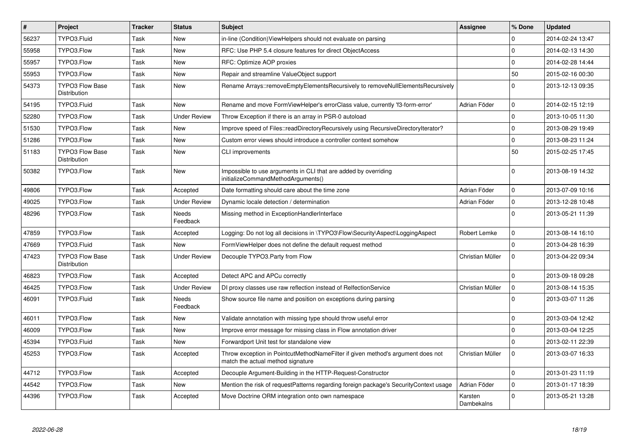| $\vert$ # | <b>Project</b>                                | <b>Tracker</b> | <b>Status</b>            | <b>Subject</b>                                                                                                       | <b>Assignee</b>       | % Done       | <b>Updated</b>   |
|-----------|-----------------------------------------------|----------------|--------------------------|----------------------------------------------------------------------------------------------------------------------|-----------------------|--------------|------------------|
| 56237     | TYPO3.Fluid                                   | Task           | <b>New</b>               | in-line (Condition)ViewHelpers should not evaluate on parsing                                                        |                       | $\Omega$     | 2014-02-24 13:47 |
| 55958     | TYPO3.Flow                                    | Task           | <b>New</b>               | RFC: Use PHP 5.4 closure features for direct ObjectAccess                                                            |                       | $\mathbf 0$  | 2014-02-13 14:30 |
| 55957     | TYPO3.Flow                                    | Task           | <b>New</b>               | RFC: Optimize AOP proxies                                                                                            |                       | $\Omega$     | 2014-02-28 14:44 |
| 55953     | TYPO3.Flow                                    | Task           | <b>New</b>               | Repair and streamline ValueObject support                                                                            |                       | 50           | 2015-02-16 00:30 |
| 54373     | <b>TYPO3 Flow Base</b><br>Distribution        | Task           | <b>New</b>               | Rename Arrays::removeEmptyElementsRecursively to removeNullElementsRecursively                                       |                       | $\Omega$     | 2013-12-13 09:35 |
| 54195     | TYPO3.Fluid                                   | Task           | <b>New</b>               | Rename and move FormViewHelper's errorClass value, currently 'f3-form-error'                                         | Adrian Föder          | $\mathbf 0$  | 2014-02-15 12:19 |
| 52280     | TYPO3.Flow                                    | Task           | <b>Under Review</b>      | Throw Exception if there is an array in PSR-0 autoload                                                               |                       | $\mathbf 0$  | 2013-10-05 11:30 |
| 51530     | TYPO3.Flow                                    | Task           | <b>New</b>               | Improve speed of Files::readDirectoryRecursively using RecursiveDirectoryIterator?                                   |                       | $\mathbf{0}$ | 2013-08-29 19:49 |
| 51286     | TYPO3.Flow                                    | Task           | <b>New</b>               | Custom error views should introduce a controller context somehow                                                     |                       | $\mathbf 0$  | 2013-08-23 11:24 |
| 51183     | <b>TYPO3 Flow Base</b><br>Distribution        | Task           | <b>New</b>               | CLI improvements                                                                                                     |                       | 50           | 2015-02-25 17:45 |
| 50382     | TYPO3.Flow                                    | Task           | <b>New</b>               | Impossible to use arguments in CLI that are added by overriding<br>initializeCommandMethodArguments()                |                       | $\Omega$     | 2013-08-19 14:32 |
| 49806     | TYPO3.Flow                                    | Task           | Accepted                 | Date formatting should care about the time zone                                                                      | Adrian Föder          | $\mathbf 0$  | 2013-07-09 10:16 |
| 49025     | TYPO3.Flow                                    | Task           | <b>Under Review</b>      | Dynamic locale detection / determination                                                                             | Adrian Föder          | $\pmb{0}$    | 2013-12-28 10:48 |
| 48296     | TYPO3.Flow                                    | Task           | Needs<br>Feedback        | Missing method in ExceptionHandlerInterface                                                                          |                       | $\Omega$     | 2013-05-21 11:39 |
| 47859     | TYPO3.Flow                                    | Task           | Accepted                 | Logging: Do not log all decisions in \TYPO3\Flow\Security\Aspect\LoggingAspect                                       | Robert Lemke          | $\mathbf{0}$ | 2013-08-14 16:10 |
| 47669     | TYPO3.Fluid                                   | Task           | <b>New</b>               | FormViewHelper does not define the default request method                                                            |                       | $\mathbf{0}$ | 2013-04-28 16:39 |
| 47423     | <b>TYPO3 Flow Base</b><br><b>Distribution</b> | Task           | <b>Under Review</b>      | Decouple TYPO3.Party from Flow                                                                                       | Christian Müller      | $\Omega$     | 2013-04-22 09:34 |
| 46823     | TYPO3.Flow                                    | Task           | Accepted                 | Detect APC and APCu correctly                                                                                        |                       | $\Omega$     | 2013-09-18 09:28 |
| 46425     | TYPO3.Flow                                    | Task           | <b>Under Review</b>      | DI proxy classes use raw reflection instead of RelfectionService                                                     | Christian Müller      | $\mathbf{0}$ | 2013-08-14 15:35 |
| 46091     | TYPO3.Fluid                                   | Task           | <b>Needs</b><br>Feedback | Show source file name and position on exceptions during parsing                                                      |                       | $\Omega$     | 2013-03-07 11:26 |
| 46011     | TYPO3.Flow                                    | Task           | <b>New</b>               | Validate annotation with missing type should throw useful error                                                      |                       | $\mathbf 0$  | 2013-03-04 12:42 |
| 46009     | TYPO3.Flow                                    | Task           | <b>New</b>               | Improve error message for missing class in Flow annotation driver                                                    |                       | $\Omega$     | 2013-03-04 12:25 |
| 45394     | TYPO3.Fluid                                   | Task           | <b>New</b>               | Forwardport Unit test for standalone view                                                                            |                       | $\Omega$     | 2013-02-11 22:39 |
| 45253     | TYPO3.Flow                                    | Task           | Accepted                 | Throw exception in PointcutMethodNameFilter if given method's argument does not<br>match the actual method signature | Christian Müller      | $\Omega$     | 2013-03-07 16:33 |
| 44712     | TYPO3.Flow                                    | Task           | Accepted                 | Decouple Argument-Building in the HTTP-Request-Constructor                                                           |                       | $\Omega$     | 2013-01-23 11:19 |
| 44542     | TYPO3.Flow                                    | Task           | <b>New</b>               | Mention the risk of requestPatterns regarding foreign package's SecurityContext usage                                | Adrian Föder          | $\mathbf 0$  | 2013-01-17 18:39 |
| 44396     | TYPO3.Flow                                    | Task           | Accepted                 | Move Doctrine ORM integration onto own namespace                                                                     | Karsten<br>Dambekalns | $\mathbf 0$  | 2013-05-21 13:28 |